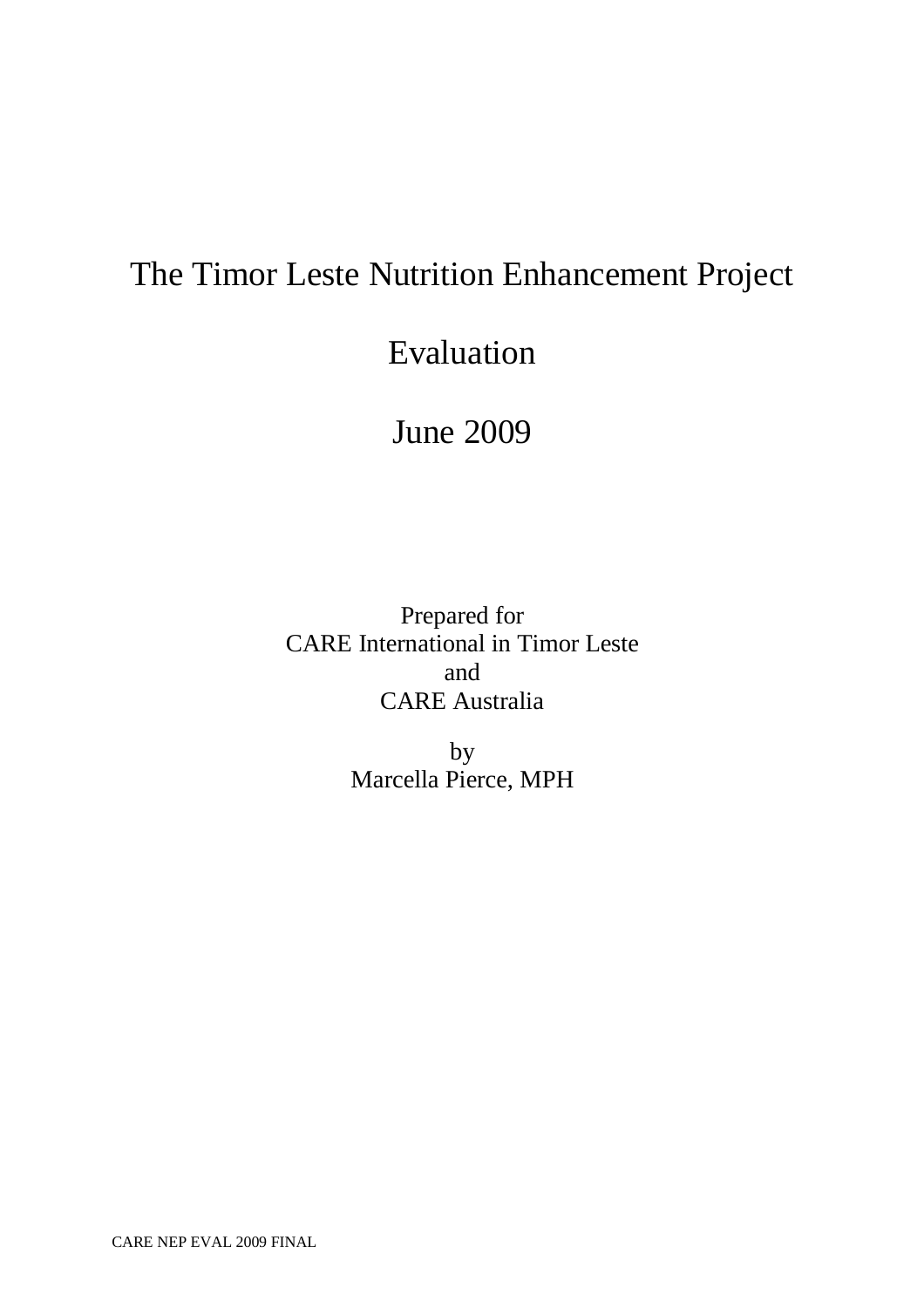# The Timor Leste Nutrition Enhancement Project

# Evaluation

# June 2009

Prepared for CARE International in Timor Leste and CARE Australia

> by Marcella Pierce, MPH

CARE NEP EVAL 2009 FINAL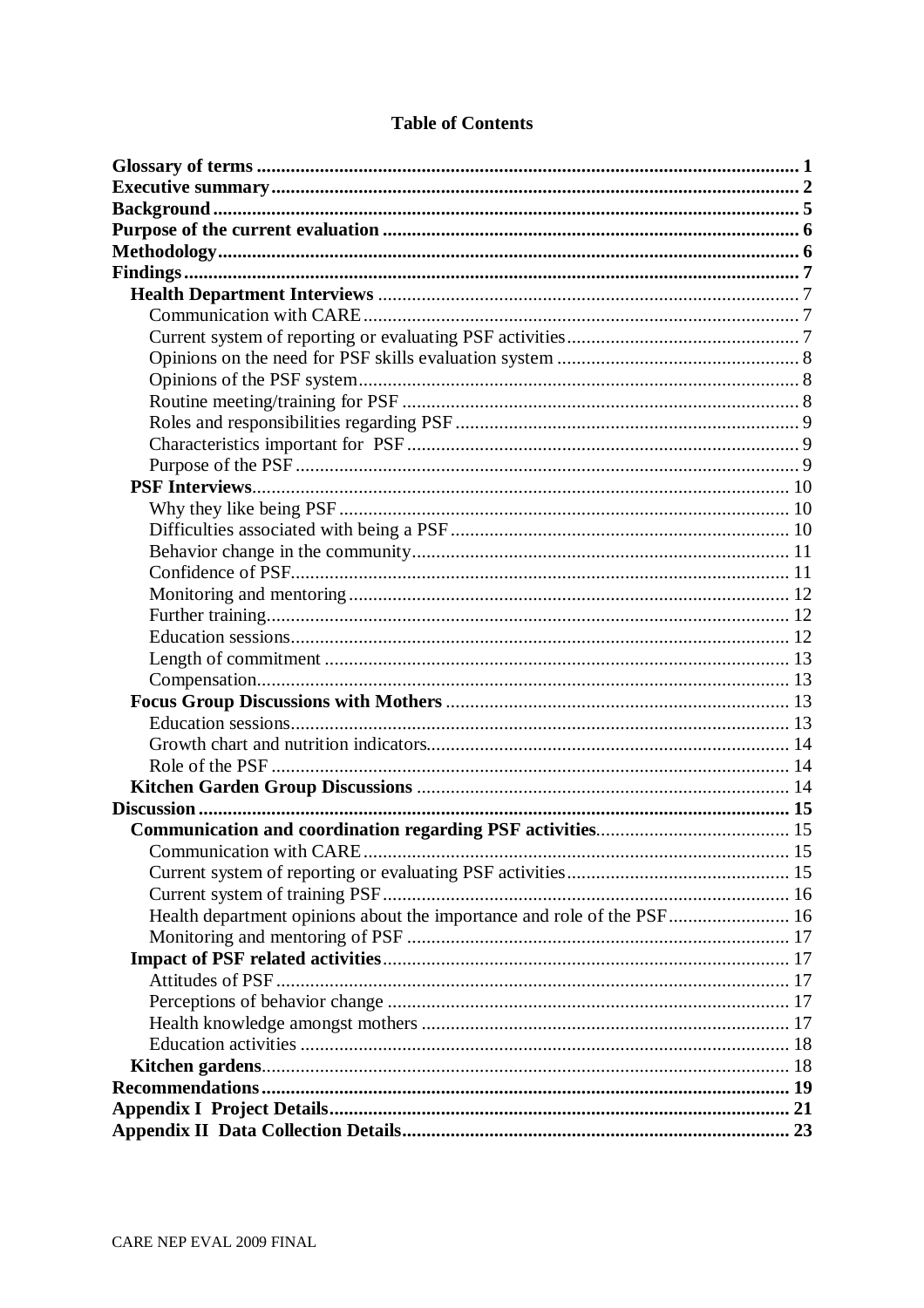| <b>Communication with CARE</b>                                         |  |
|------------------------------------------------------------------------|--|
|                                                                        |  |
|                                                                        |  |
| Health department opinions about the importance and role of the PSF 16 |  |
|                                                                        |  |
|                                                                        |  |
|                                                                        |  |
|                                                                        |  |
|                                                                        |  |
|                                                                        |  |
|                                                                        |  |
|                                                                        |  |
|                                                                        |  |
|                                                                        |  |

# **Table of Contents**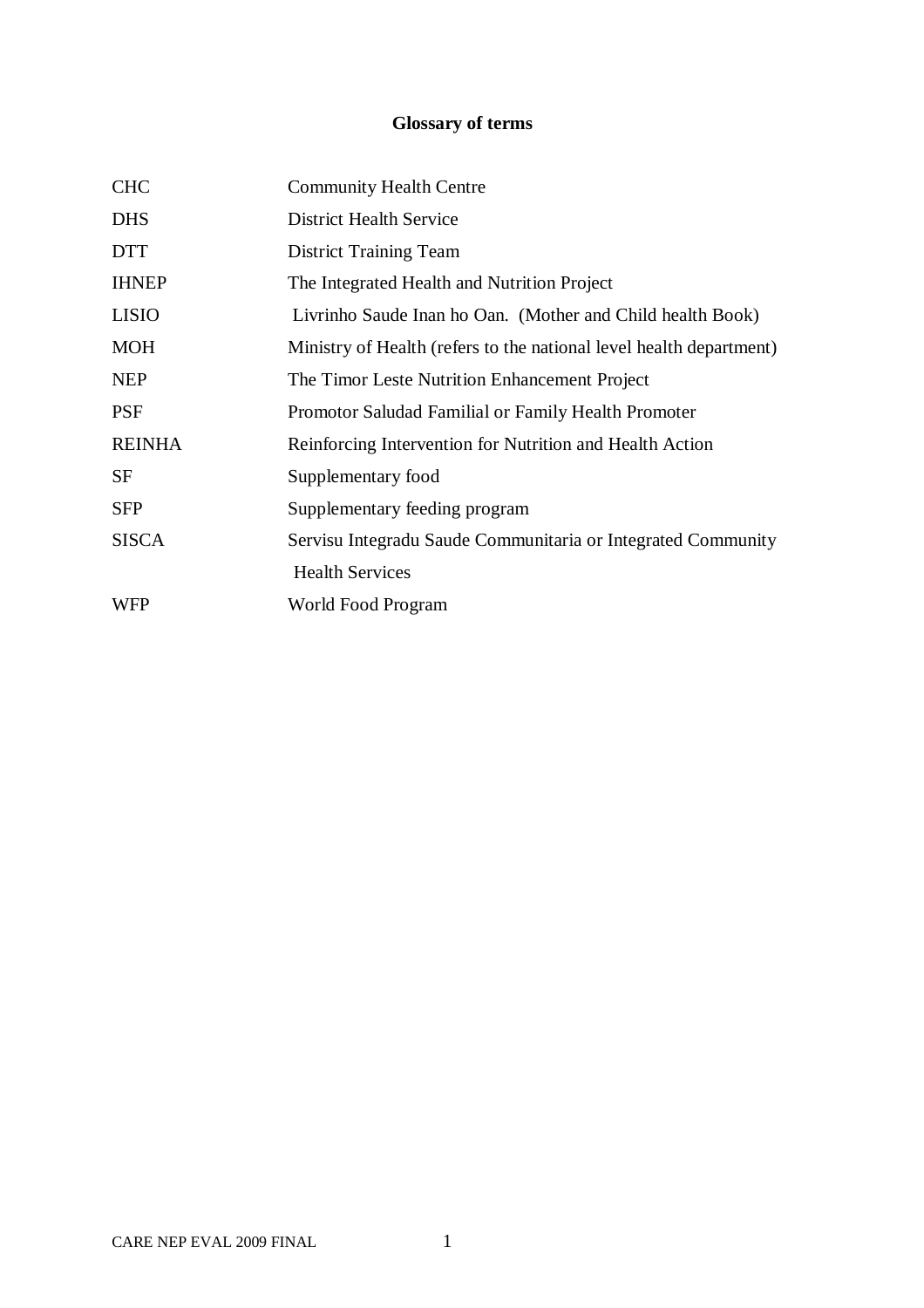# **Glossary of terms**

| <b>CHC</b>    | <b>Community Health Centre</b>                                      |
|---------------|---------------------------------------------------------------------|
| <b>DHS</b>    | <b>District Health Service</b>                                      |
| <b>DTT</b>    | <b>District Training Team</b>                                       |
| <b>IHNEP</b>  | The Integrated Health and Nutrition Project                         |
| <b>LISIO</b>  | Livrinho Saude Inan ho Oan. (Mother and Child health Book)          |
| <b>MOH</b>    | Ministry of Health (refers to the national level health department) |
| <b>NEP</b>    | The Timor Leste Nutrition Enhancement Project                       |
| <b>PSF</b>    | Promotor Saludad Familial or Family Health Promoter                 |
| <b>REINHA</b> | Reinforcing Intervention for Nutrition and Health Action            |
| <b>SF</b>     | Supplementary food                                                  |
| <b>SFP</b>    | Supplementary feeding program                                       |
| <b>SISCA</b>  | Servisu Integradu Saude Communitaria or Integrated Community        |
|               | <b>Health Services</b>                                              |
| <b>WFP</b>    | World Food Program                                                  |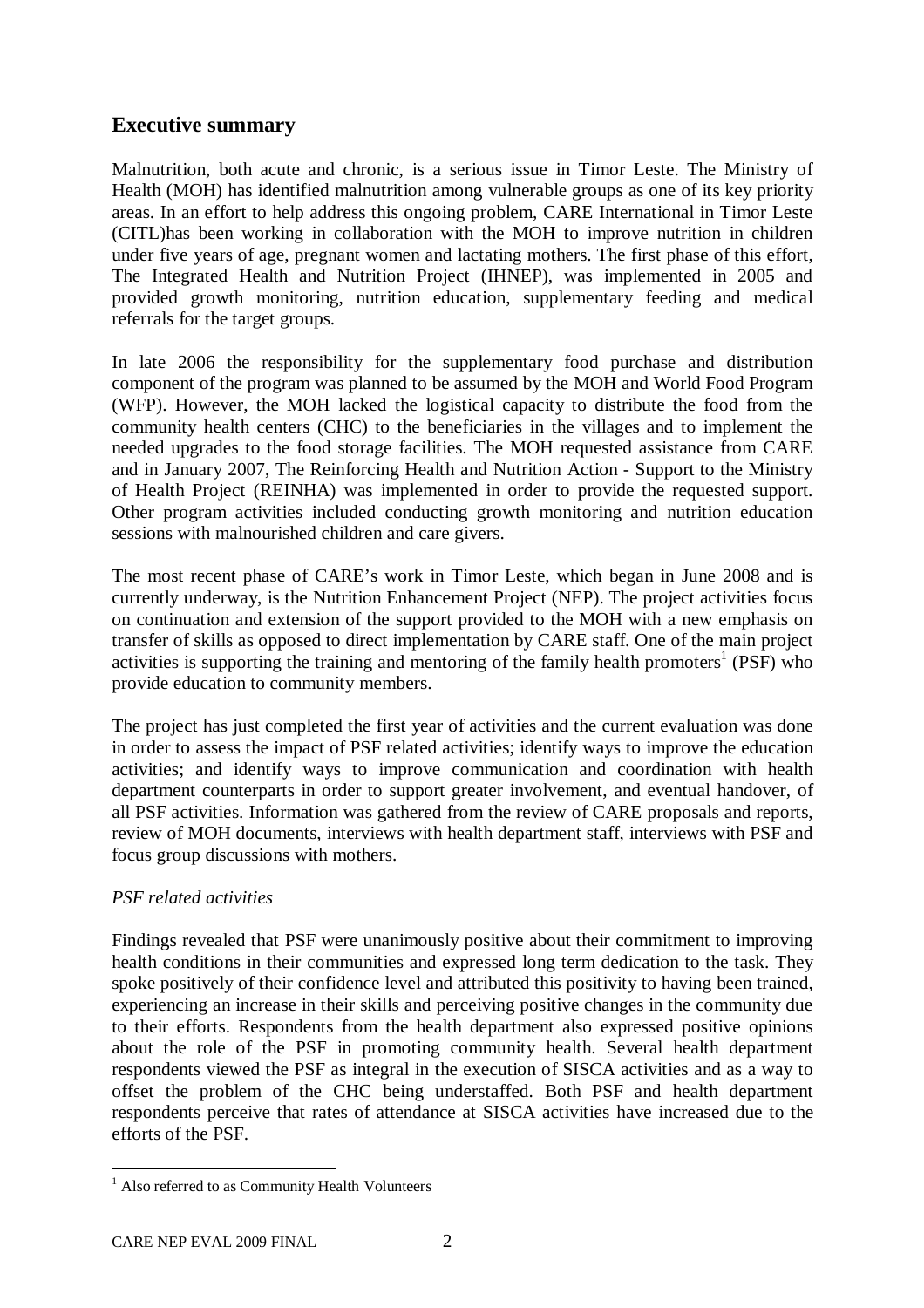# **Executive summary**

Malnutrition, both acute and chronic, is a serious issue in Timor Leste. The Ministry of Health (MOH) has identified malnutrition among vulnerable groups as one of its key priority areas. In an effort to help address this ongoing problem, CARE International in Timor Leste (CITL)has been working in collaboration with the MOH to improve nutrition in children under five years of age, pregnant women and lactating mothers. The first phase of this effort, The Integrated Health and Nutrition Project (IHNEP), was implemented in 2005 and provided growth monitoring, nutrition education, supplementary feeding and medical referrals for the target groups.

In late 2006 the responsibility for the supplementary food purchase and distribution component of the program was planned to be assumed by the MOH and World Food Program (WFP). However, the MOH lacked the logistical capacity to distribute the food from the community health centers (CHC) to the beneficiaries in the villages and to implement the needed upgrades to the food storage facilities. The MOH requested assistance from CARE and in January 2007, The Reinforcing Health and Nutrition Action - Support to the Ministry of Health Project (REINHA) was implemented in order to provide the requested support. Other program activities included conducting growth monitoring and nutrition education sessions with malnourished children and care givers.

The most recent phase of CARE's work in Timor Leste, which began in June 2008 and is currently underway, is the Nutrition Enhancement Project (NEP). The project activities focus on continuation and extension of the support provided to the MOH with a new emphasis on transfer of skills as opposed to direct implementation by CARE staff. One of the main project activities is supporting the training and mentoring of the family health promoters<sup>1</sup> (PSF) who provide education to community members.

The project has just completed the first year of activities and the current evaluation was done in order to assess the impact of PSF related activities; identify ways to improve the education activities; and identify ways to improve communication and coordination with health department counterparts in order to support greater involvement, and eventual handover, of all PSF activities. Information was gathered from the review of CARE proposals and reports, review of MOH documents, interviews with health department staff, interviews with PSF and focus group discussions with mothers.

## *PSF related activities*

Findings revealed that PSF were unanimously positive about their commitment to improving health conditions in their communities and expressed long term dedication to the task. They spoke positively of their confidence level and attributed this positivity to having been trained, experiencing an increase in their skills and perceiving positive changes in the community due to their efforts. Respondents from the health department also expressed positive opinions about the role of the PSF in promoting community health. Several health department respondents viewed the PSF as integral in the execution of SISCA activities and as a way to offset the problem of the CHC being understaffed. Both PSF and health department respondents perceive that rates of attendance at SISCA activities have increased due to the efforts of the PSF.

 $\overline{a}$ <sup>1</sup> Also referred to as Community Health Volunteers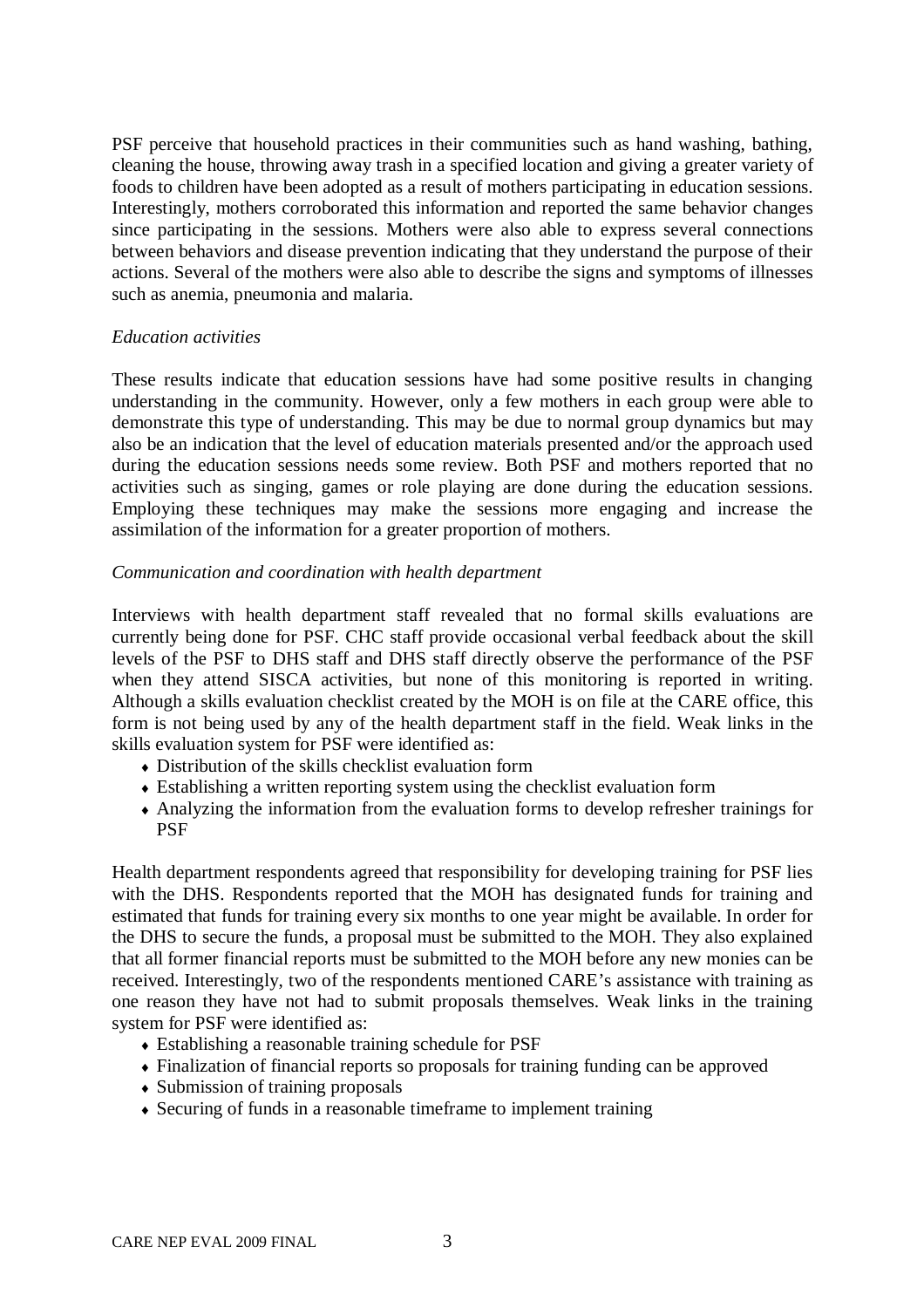PSF perceive that household practices in their communities such as hand washing, bathing, cleaning the house, throwing away trash in a specified location and giving a greater variety of foods to children have been adopted as a result of mothers participating in education sessions. Interestingly, mothers corroborated this information and reported the same behavior changes since participating in the sessions. Mothers were also able to express several connections between behaviors and disease prevention indicating that they understand the purpose of their actions. Several of the mothers were also able to describe the signs and symptoms of illnesses such as anemia, pneumonia and malaria.

#### *Education activities*

These results indicate that education sessions have had some positive results in changing understanding in the community. However, only a few mothers in each group were able to demonstrate this type of understanding. This may be due to normal group dynamics but may also be an indication that the level of education materials presented and/or the approach used during the education sessions needs some review. Both PSF and mothers reported that no activities such as singing, games or role playing are done during the education sessions. Employing these techniques may make the sessions more engaging and increase the assimilation of the information for a greater proportion of mothers.

#### *Communication and coordination with health department*

Interviews with health department staff revealed that no formal skills evaluations are currently being done for PSF. CHC staff provide occasional verbal feedback about the skill levels of the PSF to DHS staff and DHS staff directly observe the performance of the PSF when they attend SISCA activities, but none of this monitoring is reported in writing. Although a skills evaluation checklist created by the MOH is on file at the CARE office, this form is not being used by any of the health department staff in the field. Weak links in the skills evaluation system for PSF were identified as:

- Distribution of the skills checklist evaluation form
- Establishing a written reporting system using the checklist evaluation form
- Analyzing the information from the evaluation forms to develop refresher trainings for **PSF**

Health department respondents agreed that responsibility for developing training for PSF lies with the DHS. Respondents reported that the MOH has designated funds for training and estimated that funds for training every six months to one year might be available. In order for the DHS to secure the funds, a proposal must be submitted to the MOH. They also explained that all former financial reports must be submitted to the MOH before any new monies can be received. Interestingly, two of the respondents mentioned CARE's assistance with training as one reason they have not had to submit proposals themselves. Weak links in the training system for PSF were identified as:

- Establishing a reasonable training schedule for PSF
- Finalization of financial reports so proposals for training funding can be approved
- Submission of training proposals
- Securing of funds in a reasonable timeframe to implement training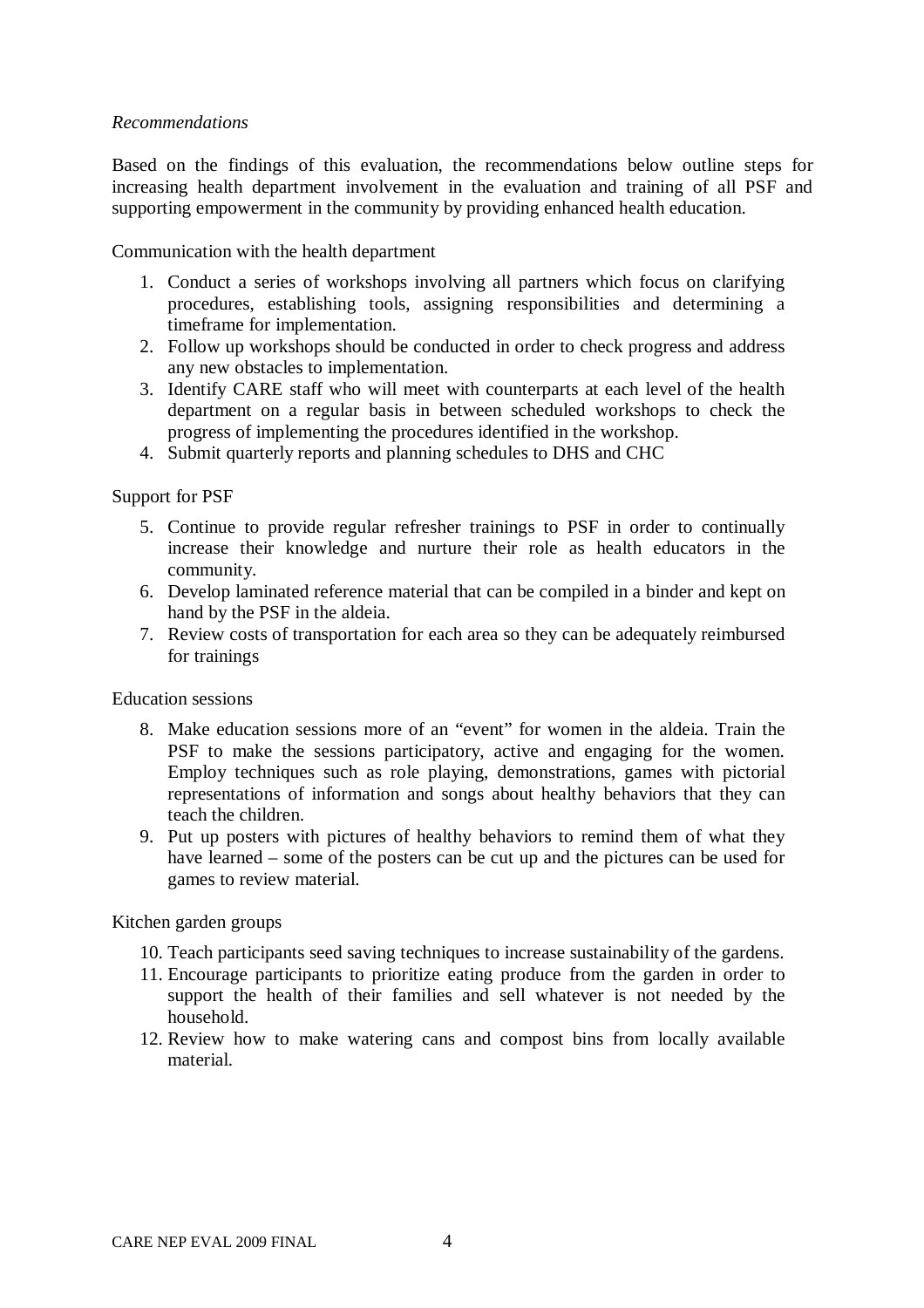#### *Recommendations*

Based on the findings of this evaluation, the recommendations below outline steps for increasing health department involvement in the evaluation and training of all PSF and supporting empowerment in the community by providing enhanced health education.

Communication with the health department

- 1. Conduct a series of workshops involving all partners which focus on clarifying procedures, establishing tools, assigning responsibilities and determining a timeframe for implementation.
- 2. Follow up workshops should be conducted in order to check progress and address any new obstacles to implementation.
- 3. Identify CARE staff who will meet with counterparts at each level of the health department on a regular basis in between scheduled workshops to check the progress of implementing the procedures identified in the workshop.
- 4. Submit quarterly reports and planning schedules to DHS and CHC

Support for PSF

- 5. Continue to provide regular refresher trainings to PSF in order to continually increase their knowledge and nurture their role as health educators in the community.
- 6. Develop laminated reference material that can be compiled in a binder and kept on hand by the PSF in the aldeia.
- 7. Review costs of transportation for each area so they can be adequately reimbursed for trainings

Education sessions

- 8. Make education sessions more of an "event" for women in the aldeia. Train the PSF to make the sessions participatory, active and engaging for the women. Employ techniques such as role playing, demonstrations, games with pictorial representations of information and songs about healthy behaviors that they can teach the children.
- 9. Put up posters with pictures of healthy behaviors to remind them of what they have learned – some of the posters can be cut up and the pictures can be used for games to review material.

Kitchen garden groups

- 10. Teach participants seed saving techniques to increase sustainability of the gardens.
- 11. Encourage participants to prioritize eating produce from the garden in order to support the health of their families and sell whatever is not needed by the household.
- 12. Review how to make watering cans and compost bins from locally available material.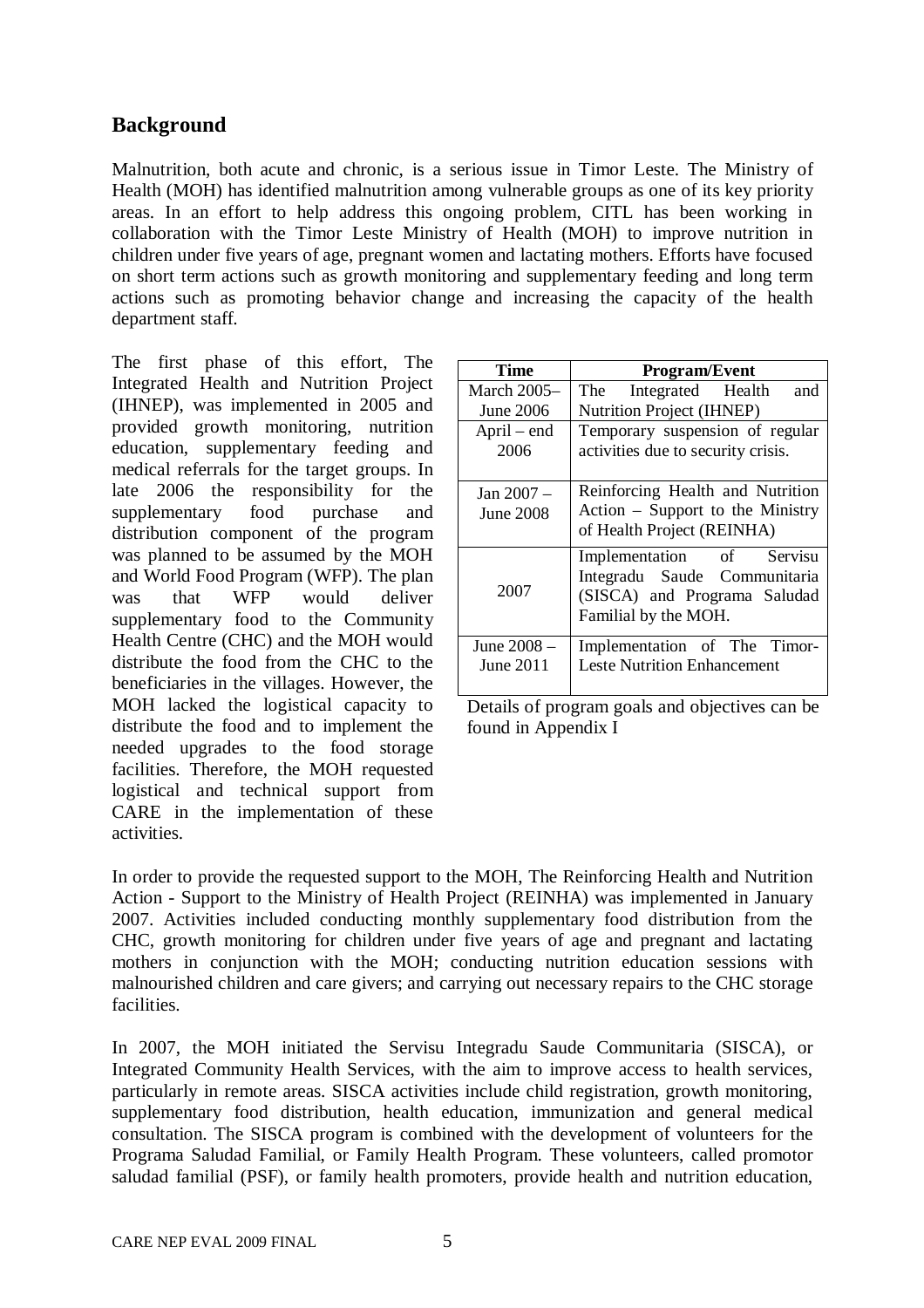# **Background**

Malnutrition, both acute and chronic, is a serious issue in Timor Leste. The Ministry of Health (MOH) has identified malnutrition among vulnerable groups as one of its key priority areas. In an effort to help address this ongoing problem, CITL has been working in collaboration with the Timor Leste Ministry of Health (MOH) to improve nutrition in children under five years of age, pregnant women and lactating mothers. Efforts have focused on short term actions such as growth monitoring and supplementary feeding and long term actions such as promoting behavior change and increasing the capacity of the health department staff.

The first phase of this effort, The Integrated Health and Nutrition Project (IHNEP), was implemented in 2005 and provided growth monitoring, nutrition education, supplementary feeding and medical referrals for the target groups. In late 2006 the responsibility for the supplementary food purchase and distribution component of the program was planned to be assumed by the MOH and World Food Program (WFP). The plan was that WFP would deliver supplementary food to the Community Health Centre (CHC) and the MOH would distribute the food from the CHC to the beneficiaries in the villages. However, the MOH lacked the logistical capacity to distribute the food and to implement the needed upgrades to the food storage facilities. Therefore, the MOH requested logistical and technical support from CARE in the implementation of these activities.

| Time                     | <b>Program/Event</b>                                                                                              |  |  |  |
|--------------------------|-------------------------------------------------------------------------------------------------------------------|--|--|--|
| <b>March 2005–</b>       | The Integrated Health<br>and                                                                                      |  |  |  |
| June 2006                | <b>Nutrition Project (IHNEP)</b>                                                                                  |  |  |  |
| April – end<br>2006      | Temporary suspension of regular<br>activities due to security crisis.                                             |  |  |  |
| Jan 2007 –<br>June 2008  | Reinforcing Health and Nutrition<br>Action – Support to the Ministry<br>of Health Project (REINHA)                |  |  |  |
| 2007                     | Implementation of Servisu<br>Integradu Saude Communitaria<br>(SISCA) and Programa Saludad<br>Familial by the MOH. |  |  |  |
| June 2008 –<br>June 2011 | Implementation of The Timor-<br><b>Leste Nutrition Enhancement</b>                                                |  |  |  |

Details of program goals and objectives can be found in Appendix I

In order to provide the requested support to the MOH, The Reinforcing Health and Nutrition Action - Support to the Ministry of Health Project (REINHA) was implemented in January 2007. Activities included conducting monthly supplementary food distribution from the CHC, growth monitoring for children under five years of age and pregnant and lactating mothers in conjunction with the MOH; conducting nutrition education sessions with malnourished children and care givers; and carrying out necessary repairs to the CHC storage facilities.

In 2007, the MOH initiated the Servisu Integradu Saude Communitaria (SISCA), or Integrated Community Health Services, with the aim to improve access to health services, particularly in remote areas. SISCA activities include child registration, growth monitoring, supplementary food distribution, health education, immunization and general medical consultation. The SISCA program is combined with the development of volunteers for the Programa Saludad Familial, or Family Health Program. These volunteers, called promotor saludad familial (PSF), or family health promoters, provide health and nutrition education,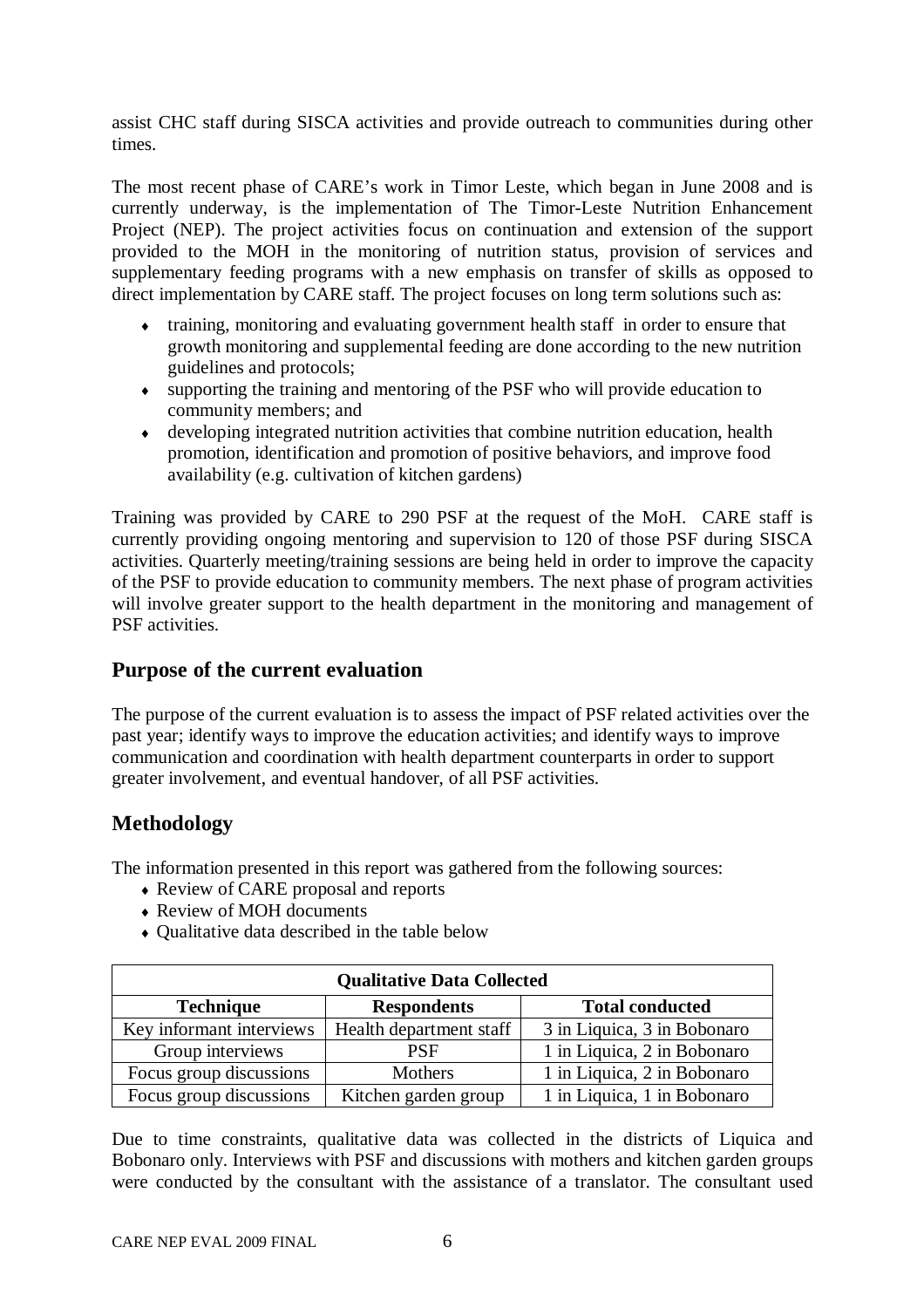assist CHC staff during SISCA activities and provide outreach to communities during other times.

The most recent phase of CARE's work in Timor Leste, which began in June 2008 and is currently underway, is the implementation of The Timor-Leste Nutrition Enhancement Project (NEP). The project activities focus on continuation and extension of the support provided to the MOH in the monitoring of nutrition status, provision of services and supplementary feeding programs with a new emphasis on transfer of skills as opposed to direct implementation by CARE staff. The project focuses on long term solutions such as:

- training, monitoring and evaluating government health staff in order to ensure that growth monitoring and supplemental feeding are done according to the new nutrition guidelines and protocols;
- supporting the training and mentoring of the PSF who will provide education to community members; and
- developing integrated nutrition activities that combine nutrition education, health promotion, identification and promotion of positive behaviors, and improve food availability (e.g. cultivation of kitchen gardens)

Training was provided by CARE to 290 PSF at the request of the MoH. CARE staff is currently providing ongoing mentoring and supervision to 120 of those PSF during SISCA activities. Quarterly meeting/training sessions are being held in order to improve the capacity of the PSF to provide education to community members. The next phase of program activities will involve greater support to the health department in the monitoring and management of PSF activities.

# **Purpose of the current evaluation**

The purpose of the current evaluation is to assess the impact of PSF related activities over the past year; identify ways to improve the education activities; and identify ways to improve communication and coordination with health department counterparts in order to support greater involvement, and eventual handover, of all PSF activities.

# **Methodology**

The information presented in this report was gathered from the following sources:

- Review of CARE proposal and reports
- Review of MOH documents
- Oualitative data described in the table below

| <b>Qualitative Data Collected</b>                                |                         |                             |  |  |  |
|------------------------------------------------------------------|-------------------------|-----------------------------|--|--|--|
| <b>Technique</b><br><b>Total conducted</b><br><b>Respondents</b> |                         |                             |  |  |  |
| Key informant interviews                                         | Health department staff | 3 in Liquica, 3 in Bobonaro |  |  |  |
| Group interviews                                                 | <b>PSF</b>              | 1 in Liquica, 2 in Bobonaro |  |  |  |
| Focus group discussions                                          | Mothers                 | 1 in Liquica, 2 in Bobonaro |  |  |  |
| Focus group discussions                                          | Kitchen garden group    | 1 in Liquica, 1 in Bobonaro |  |  |  |

Due to time constraints, qualitative data was collected in the districts of Liquica and Bobonaro only. Interviews with PSF and discussions with mothers and kitchen garden groups were conducted by the consultant with the assistance of a translator. The consultant used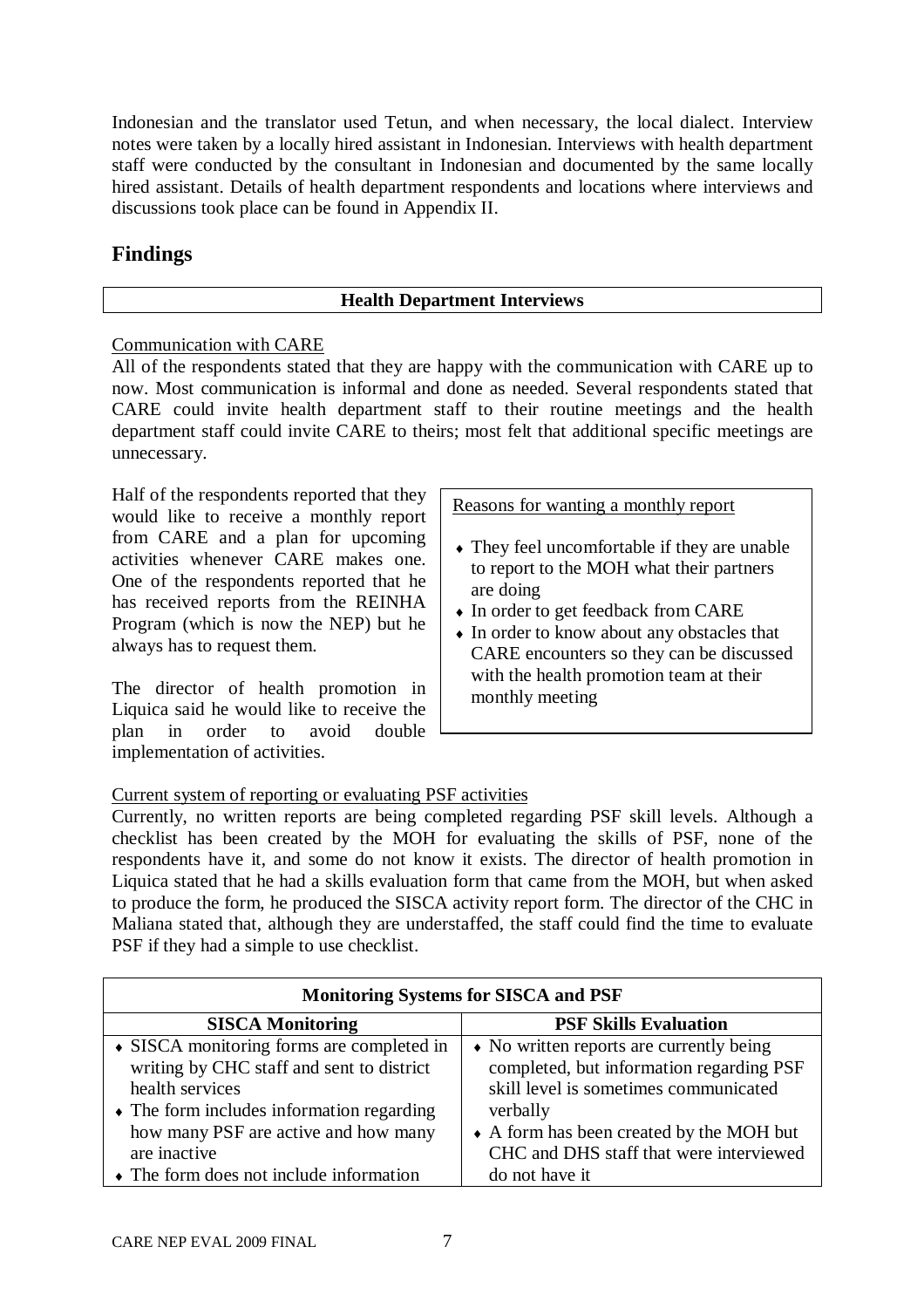Indonesian and the translator used Tetun, and when necessary, the local dialect. Interview notes were taken by a locally hired assistant in Indonesian. Interviews with health department staff were conducted by the consultant in Indonesian and documented by the same locally hired assistant. Details of health department respondents and locations where interviews and discussions took place can be found in Appendix II.

# **Findings**

## **Health Department Interviews**

## Communication with CARE

All of the respondents stated that they are happy with the communication with CARE up to now. Most communication is informal and done as needed. Several respondents stated that CARE could invite health department staff to their routine meetings and the health department staff could invite CARE to theirs; most felt that additional specific meetings are unnecessary.

Half of the respondents reported that they would like to receive a monthly report from CARE and a plan for upcoming activities whenever CARE makes one. One of the respondents reported that he has received reports from the REINHA Program (which is now the NEP) but he always has to request them.

The director of health promotion in Liquica said he would like to receive the plan in order to avoid double implementation of activities.

Reasons for wanting a monthly report

- They feel uncomfortable if they are unable to report to the MOH what their partners are doing
- In order to get feedback from CARE
- In order to know about any obstacles that CARE encounters so they can be discussed with the health promotion team at their monthly meeting

## Current system of reporting or evaluating PSF activities

Currently, no written reports are being completed regarding PSF skill levels. Although a checklist has been created by the MOH for evaluating the skills of PSF, none of the respondents have it, and some do not know it exists. The director of health promotion in Liquica stated that he had a skills evaluation form that came from the MOH, but when asked to produce the form, he produced the SISCA activity report form. The director of the CHC in Maliana stated that, although they are understaffed, the staff could find the time to evaluate PSF if they had a simple to use checklist.

| <b>Monitoring Systems for SISCA and PSF</b>             |                                          |  |  |  |
|---------------------------------------------------------|------------------------------------------|--|--|--|
| <b>PSF Skills Evaluation</b><br><b>SISCA Monitoring</b> |                                          |  |  |  |
| • SISCA monitoring forms are completed in               | • No written reports are currently being |  |  |  |
| writing by CHC staff and sent to district               | completed, but information regarding PSF |  |  |  |
| health services                                         | skill level is sometimes communicated    |  |  |  |
| $\bullet$ The form includes information regarding       | verbally                                 |  |  |  |
| how many PSF are active and how many                    | • A form has been created by the MOH but |  |  |  |
| are inactive                                            | CHC and DHS staff that were interviewed  |  |  |  |
| $\bullet$ The form does not include information         | do not have it                           |  |  |  |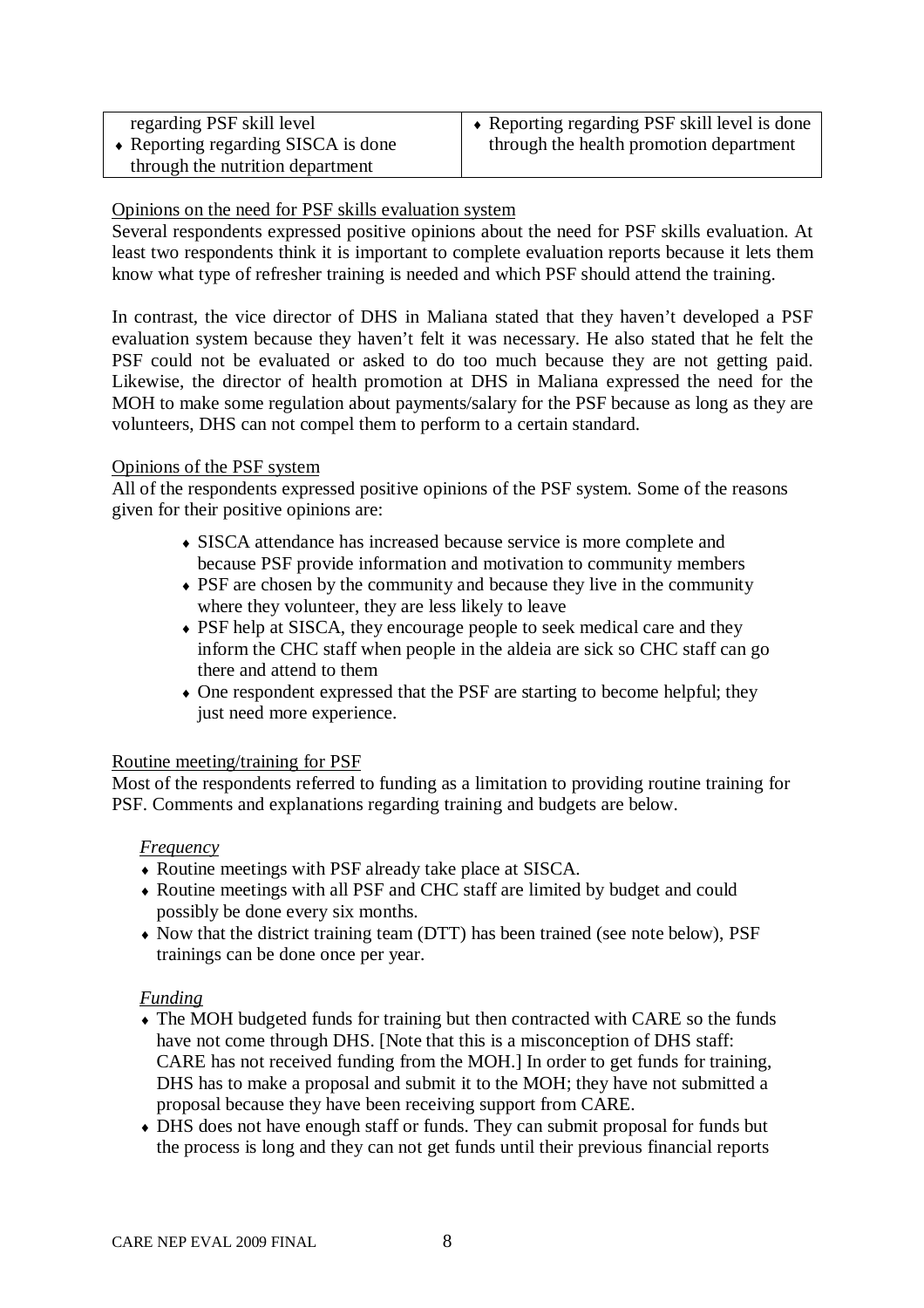| regarding PSF skill level           | • Reporting regarding PSF skill level is done |
|-------------------------------------|-----------------------------------------------|
| • Reporting regarding SISCA is done | through the health promotion department       |
| through the nutrition department    |                                               |

### Opinions on the need for PSF skills evaluation system

Several respondents expressed positive opinions about the need for PSF skills evaluation. At least two respondents think it is important to complete evaluation reports because it lets them know what type of refresher training is needed and which PSF should attend the training.

In contrast, the vice director of DHS in Maliana stated that they haven't developed a PSF evaluation system because they haven't felt it was necessary. He also stated that he felt the PSF could not be evaluated or asked to do too much because they are not getting paid. Likewise, the director of health promotion at DHS in Maliana expressed the need for the MOH to make some regulation about payments/salary for the PSF because as long as they are volunteers, DHS can not compel them to perform to a certain standard.

#### Opinions of the PSF system

All of the respondents expressed positive opinions of the PSF system. Some of the reasons given for their positive opinions are:

- SISCA attendance has increased because service is more complete and because PSF provide information and motivation to community members
- PSF are chosen by the community and because they live in the community where they volunteer, they are less likely to leave
- PSF help at SISCA, they encourage people to seek medical care and they inform the CHC staff when people in the aldeia are sick so CHC staff can go there and attend to them
- One respondent expressed that the PSF are starting to become helpful; they just need more experience.

#### Routine meeting/training for PSF

Most of the respondents referred to funding as a limitation to providing routine training for PSF. Comments and explanations regarding training and budgets are below.

#### *Frequency*

- Routine meetings with PSF already take place at SISCA.
- Routine meetings with all PSF and CHC staff are limited by budget and could possibly be done every six months.
- Now that the district training team (DTT) has been trained (see note below), PSF trainings can be done once per year.

## *Funding*

- The MOH budgeted funds for training but then contracted with CARE so the funds have not come through DHS. [Note that this is a misconception of DHS staff: CARE has not received funding from the MOH.] In order to get funds for training, DHS has to make a proposal and submit it to the MOH; they have not submitted a proposal because they have been receiving support from CARE.
- DHS does not have enough staff or funds. They can submit proposal for funds but the process is long and they can not get funds until their previous financial reports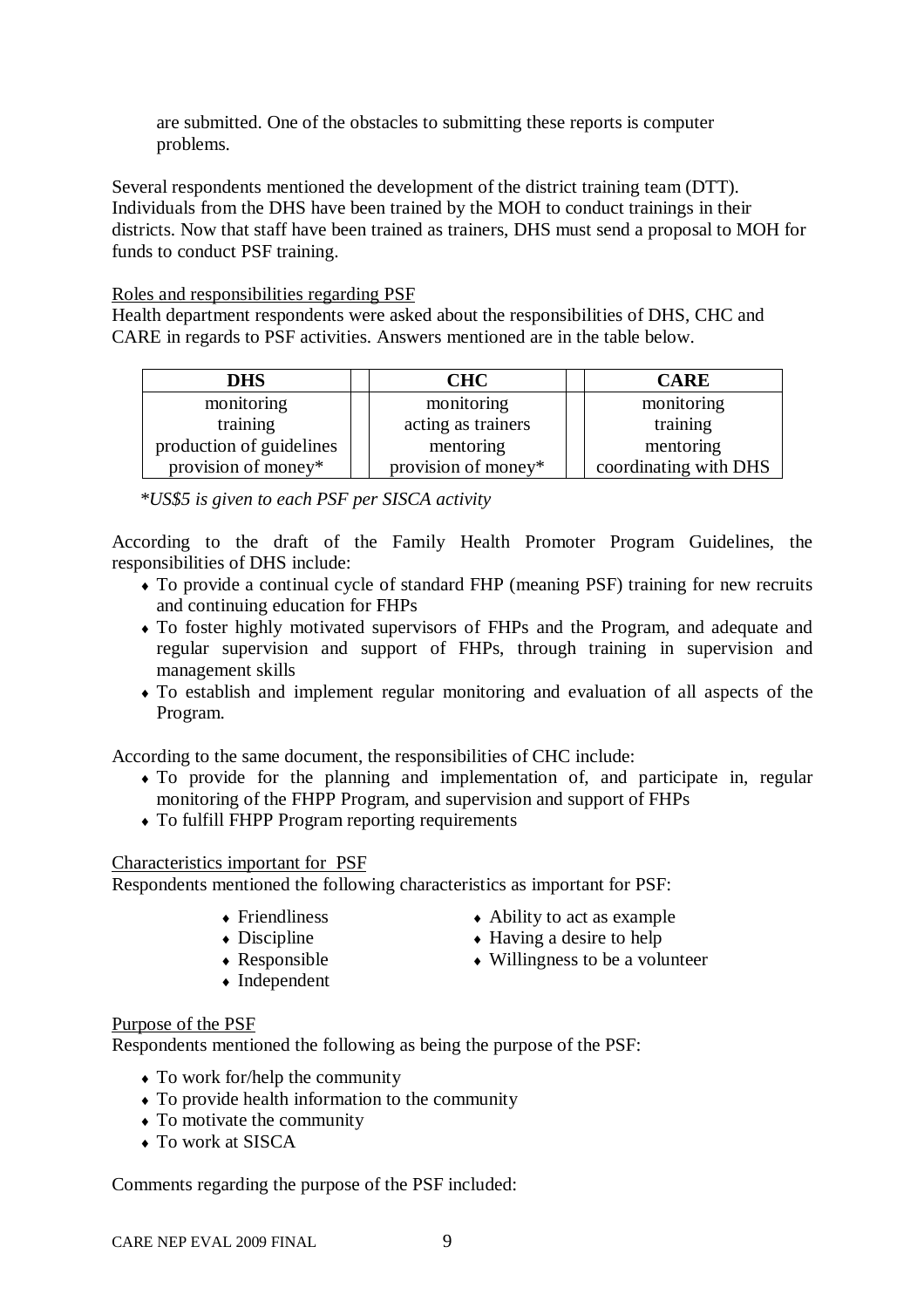are submitted. One of the obstacles to submitting these reports is computer problems.

Several respondents mentioned the development of the district training team (DTT). Individuals from the DHS have been trained by the MOH to conduct trainings in their districts. Now that staff have been trained as trainers, DHS must send a proposal to MOH for funds to conduct PSF training.

#### Roles and responsibilities regarding PSF

Health department respondents were asked about the responsibilities of DHS, CHC and CARE in regards to PSF activities. Answers mentioned are in the table below.

| <b>DHS</b>               | <b>CHC</b>          | <b>CARE</b>           |
|--------------------------|---------------------|-----------------------|
| monitoring               | monitoring          | monitoring            |
| training                 | acting as trainers  | training              |
| production of guidelines | mentoring           | mentoring             |
| provision of money*      | provision of money* | coordinating with DHS |

*\*US\$5 is given to each PSF per SISCA activity*

According to the draft of the Family Health Promoter Program Guidelines, the responsibilities of DHS include:

- To provide a continual cycle of standard FHP (meaning PSF) training for new recruits and continuing education for FHPs
- To foster highly motivated supervisors of FHPs and the Program, and adequate and regular supervision and support of FHPs, through training in supervision and management skills
- To establish and implement regular monitoring and evaluation of all aspects of the Program.

According to the same document, the responsibilities of CHC include:

- To provide for the planning and implementation of, and participate in, regular monitoring of the FHPP Program, and supervision and support of FHPs
- To fulfill FHPP Program reporting requirements

#### Characteristics important for PSF

Respondents mentioned the following characteristics as important for PSF:

- ◆ Friendliness
- $\bullet$  Discipline
- 
- Responsible
- Ability to act as example ◆ Having a desire to help
- Willingness to be a volunteer
- Independent

#### Purpose of the PSF

Respondents mentioned the following as being the purpose of the PSF:

- To work for/help the community
- To provide health information to the community
- To motivate the community
- To work at SISCA

Comments regarding the purpose of the PSF included: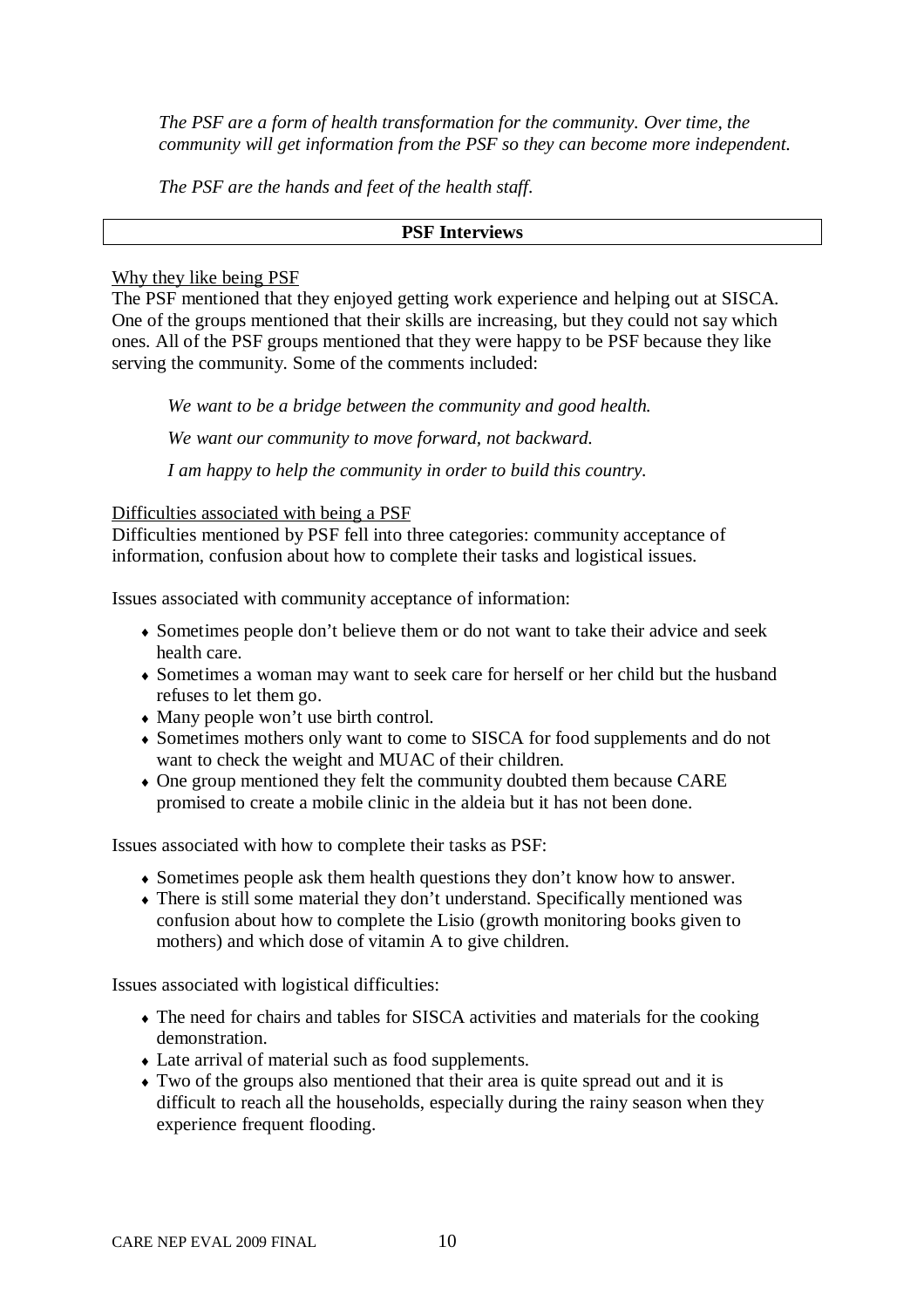*The PSF are a form of health transformation for the community. Over time, the community will get information from the PSF so they can become more independent.* 

*The PSF are the hands and feet of the health staff.*

#### **PSF Interviews**

#### Why they like being PSF

The PSF mentioned that they enjoyed getting work experience and helping out at SISCA. One of the groups mentioned that their skills are increasing, but they could not say which ones. All of the PSF groups mentioned that they were happy to be PSF because they like serving the community. Some of the comments included:

*We want to be a bridge between the community and good health.* 

*We want our community to move forward, not backward.* 

*I am happy to help the community in order to build this country.*

Difficulties associated with being a PSF

Difficulties mentioned by PSF fell into three categories: community acceptance of information, confusion about how to complete their tasks and logistical issues.

Issues associated with community acceptance of information:

- Sometimes people don't believe them or do not want to take their advice and seek health care.
- Sometimes a woman may want to seek care for herself or her child but the husband refuses to let them go.
- Many people won't use birth control.
- Sometimes mothers only want to come to SISCA for food supplements and do not want to check the weight and MUAC of their children.
- One group mentioned they felt the community doubted them because CARE promised to create a mobile clinic in the aldeia but it has not been done.

Issues associated with how to complete their tasks as PSF:

- Sometimes people ask them health questions they don't know how to answer.
- There is still some material they don't understand. Specifically mentioned was confusion about how to complete the Lisio (growth monitoring books given to mothers) and which dose of vitamin A to give children.

Issues associated with logistical difficulties:

- The need for chairs and tables for SISCA activities and materials for the cooking demonstration.
- Late arrival of material such as food supplements.
- Two of the groups also mentioned that their area is quite spread out and it is difficult to reach all the households, especially during the rainy season when they experience frequent flooding.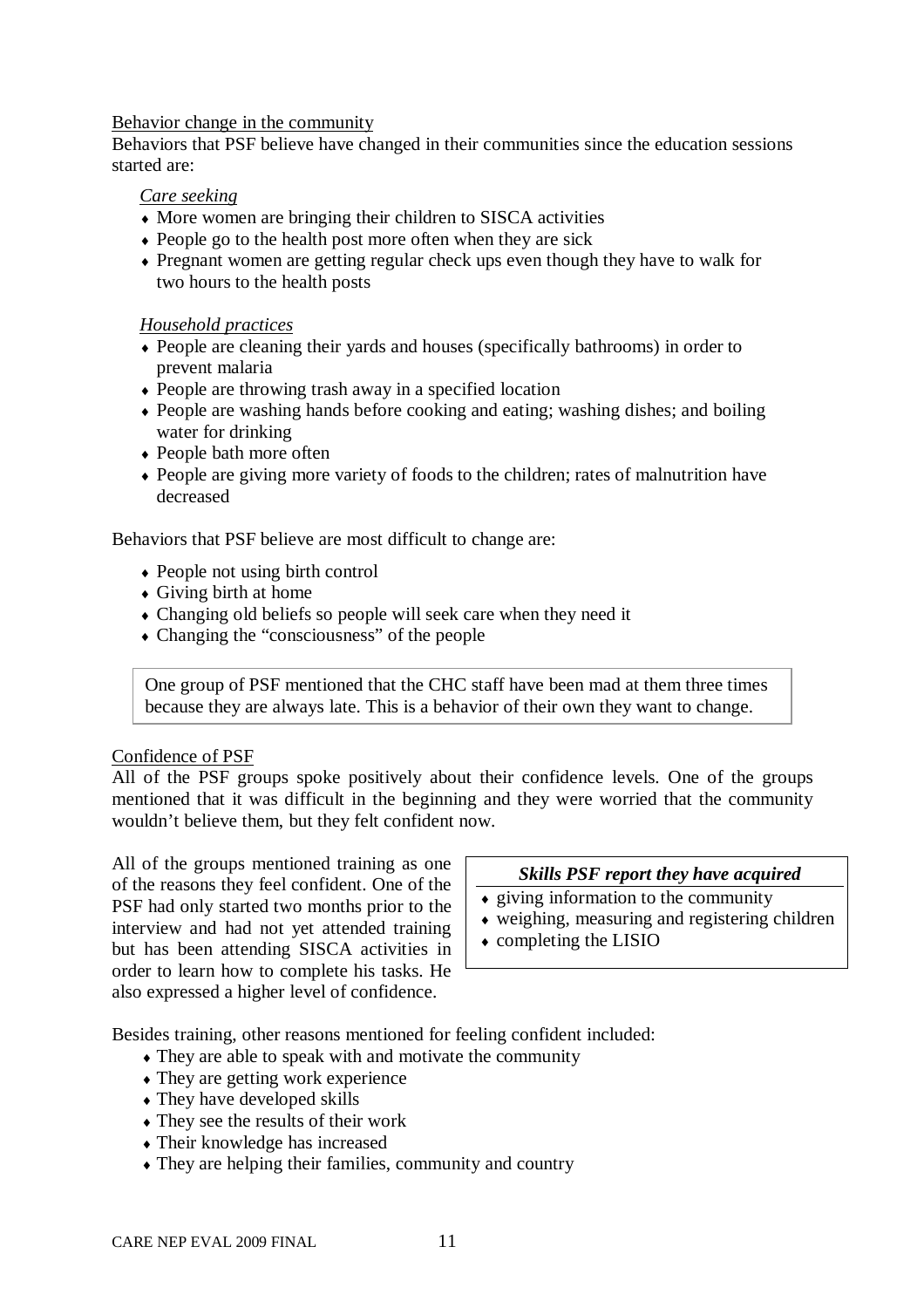#### Behavior change in the community

Behaviors that PSF believe have changed in their communities since the education sessions started are:

#### *Care seeking*

- More women are bringing their children to SISCA activities
- People go to the health post more often when they are sick
- Pregnant women are getting regular check ups even though they have to walk for two hours to the health posts

#### *Household practices*

- People are cleaning their yards and houses (specifically bathrooms) in order to prevent malaria
- People are throwing trash away in a specified location
- People are washing hands before cooking and eating; washing dishes; and boiling water for drinking
- People bath more often
- People are giving more variety of foods to the children; rates of malnutrition have decreased

Behaviors that PSF believe are most difficult to change are:

- People not using birth control
- Giving birth at home
- Changing old beliefs so people will seek care when they need it
- Changing the "consciousness" of the people

One group of PSF mentioned that the CHC staff have been mad at them three times because they are always late. This is a behavior of their own they want to change.

#### Confidence of PSF

All of the PSF groups spoke positively about their confidence levels. One of the groups mentioned that it was difficult in the beginning and they were worried that the community wouldn't believe them, but they felt confident now.

All of the groups mentioned training as one of the reasons they feel confident. One of the PSF had only started two months prior to the interview and had not yet attended training but has been attending SISCA activities in order to learn how to complete his tasks. He also expressed a higher level of confidence.

#### *Skills PSF report they have acquired*

- $\bullet$  giving information to the community
- weighing, measuring and registering children
- completing the LISIO

Besides training, other reasons mentioned for feeling confident included:

- They are able to speak with and motivate the community
- They are getting work experience
- They have developed skills
- They see the results of their work
- Their knowledge has increased
- They are helping their families, community and country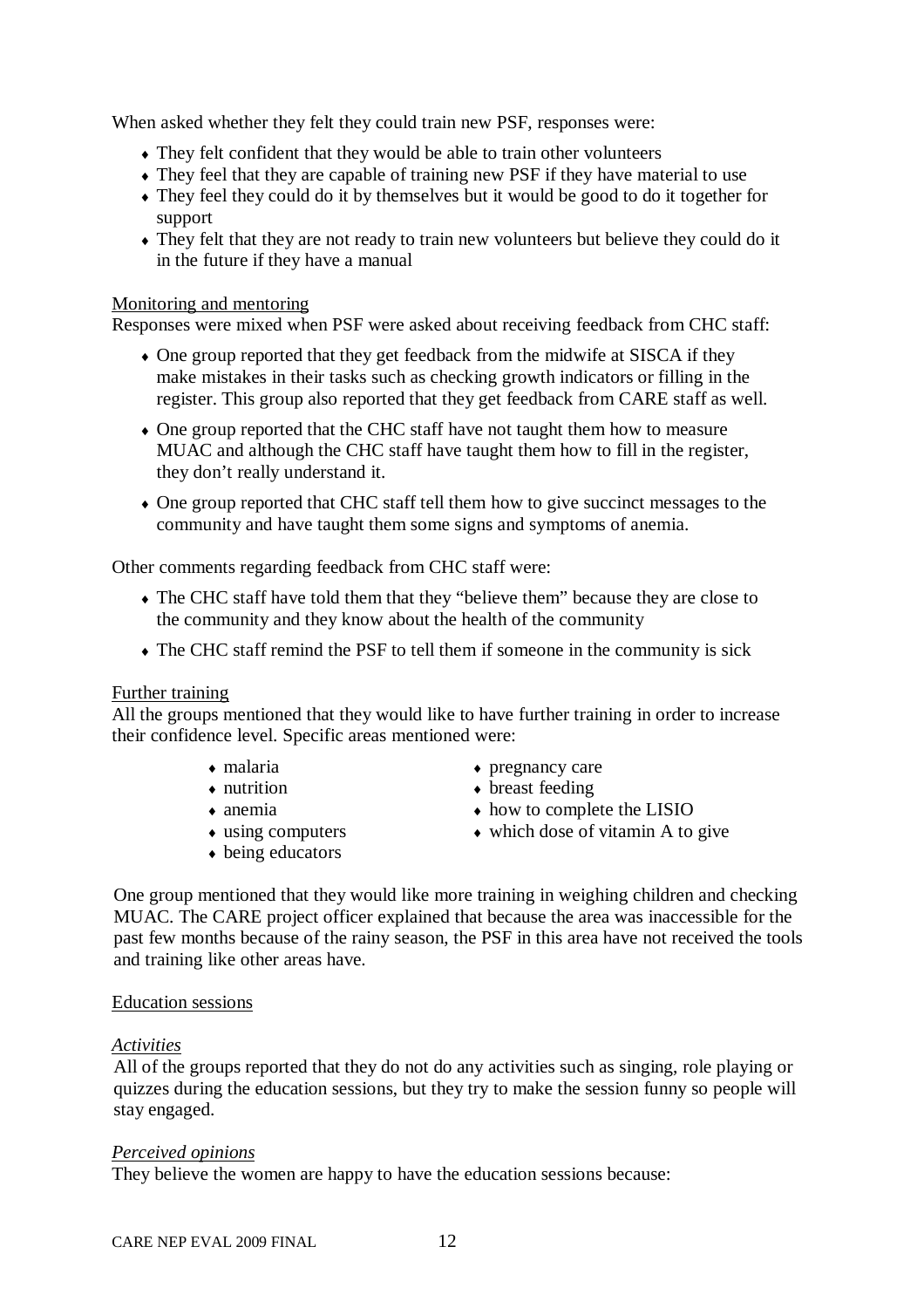When asked whether they felt they could train new PSF, responses were:

- They felt confident that they would be able to train other volunteers
- They feel that they are capable of training new PSF if they have material to use
- They feel they could do it by themselves but it would be good to do it together for support
- They felt that they are not ready to train new volunteers but believe they could do it in the future if they have a manual

#### Monitoring and mentoring

Responses were mixed when PSF were asked about receiving feedback from CHC staff:

- One group reported that they get feedback from the midwife at SISCA if they make mistakes in their tasks such as checking growth indicators or filling in the register. This group also reported that they get feedback from CARE staff as well.
- One group reported that the CHC staff have not taught them how to measure MUAC and although the CHC staff have taught them how to fill in the register, they don't really understand it.
- One group reported that CHC staff tell them how to give succinct messages to the community and have taught them some signs and symptoms of anemia.

Other comments regarding feedback from CHC staff were:

- The CHC staff have told them that they "believe them" because they are close to the community and they know about the health of the community
- The CHC staff remind the PSF to tell them if someone in the community is sick

#### Further training

All the groups mentioned that they would like to have further training in order to increase their confidence level. Specific areas mentioned were:

- malaria
- $\bullet$  nutrition
- $\bullet$  anemia
- using computers
- being educators
- $\rightarrow$  pregnancy care
- breast feeding
- how to complete the LISIO
- which dose of vitamin A to give

One group mentioned that they would like more training in weighing children and checking MUAC. The CARE project officer explained that because the area was inaccessible for the past few months because of the rainy season, the PSF in this area have not received the tools and training like other areas have.

#### Education sessions

#### *Activities*

All of the groups reported that they do not do any activities such as singing, role playing or quizzes during the education sessions, but they try to make the session funny so people will stay engaged.

#### *Perceived opinions*

They believe the women are happy to have the education sessions because: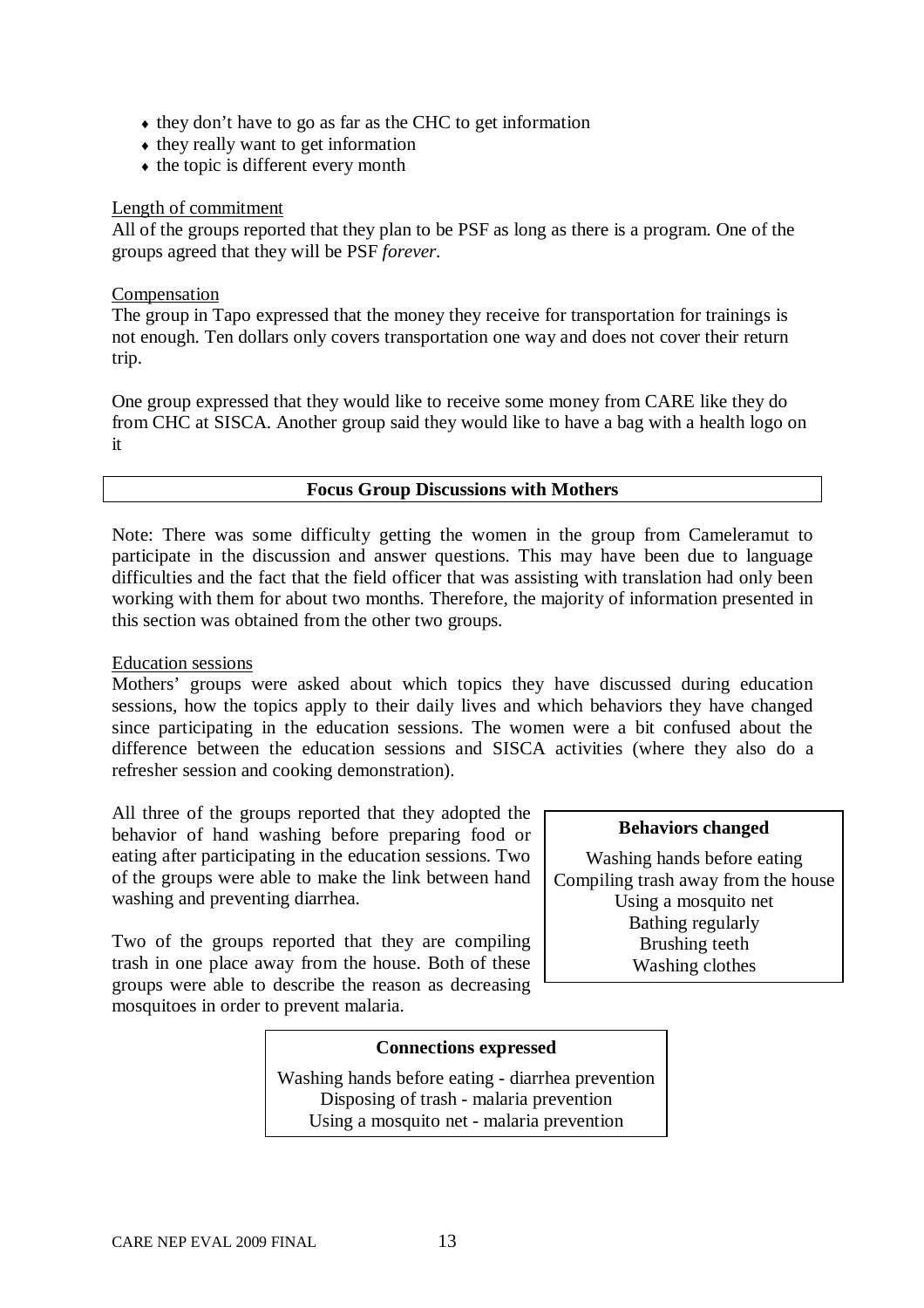- they don't have to go as far as the CHC to get information
- $\bullet$  they really want to get information
- $\triangle$  the topic is different every month

#### Length of commitment

All of the groups reported that they plan to be PSF as long as there is a program. One of the groups agreed that they will be PSF *forever*.

#### **Compensation**

The group in Tapo expressed that the money they receive for transportation for trainings is not enough. Ten dollars only covers transportation one way and does not cover their return trip.

One group expressed that they would like to receive some money from CARE like they do from CHC at SISCA. Another group said they would like to have a bag with a health logo on it

#### **Focus Group Discussions with Mothers**

Note: There was some difficulty getting the women in the group from Cameleramut to participate in the discussion and answer questions. This may have been due to language difficulties and the fact that the field officer that was assisting with translation had only been working with them for about two months. Therefore, the majority of information presented in this section was obtained from the other two groups.

#### Education sessions

Mothers' groups were asked about which topics they have discussed during education sessions, how the topics apply to their daily lives and which behaviors they have changed since participating in the education sessions. The women were a bit confused about the difference between the education sessions and SISCA activities (where they also do a refresher session and cooking demonstration).

All three of the groups reported that they adopted the behavior of hand washing before preparing food or eating after participating in the education sessions. Two of the groups were able to make the link between hand washing and preventing diarrhea.

Two of the groups reported that they are compiling trash in one place away from the house. Both of these groups were able to describe the reason as decreasing mosquitoes in order to prevent malaria.

#### **Behaviors changed**

Washing hands before eating Compiling trash away from the house Using a mosquito net Bathing regularly Brushing teeth Washing clothes

#### **Connections expressed**

Washing hands before eating - diarrhea prevention Disposing of trash - malaria prevention Using a mosquito net - malaria prevention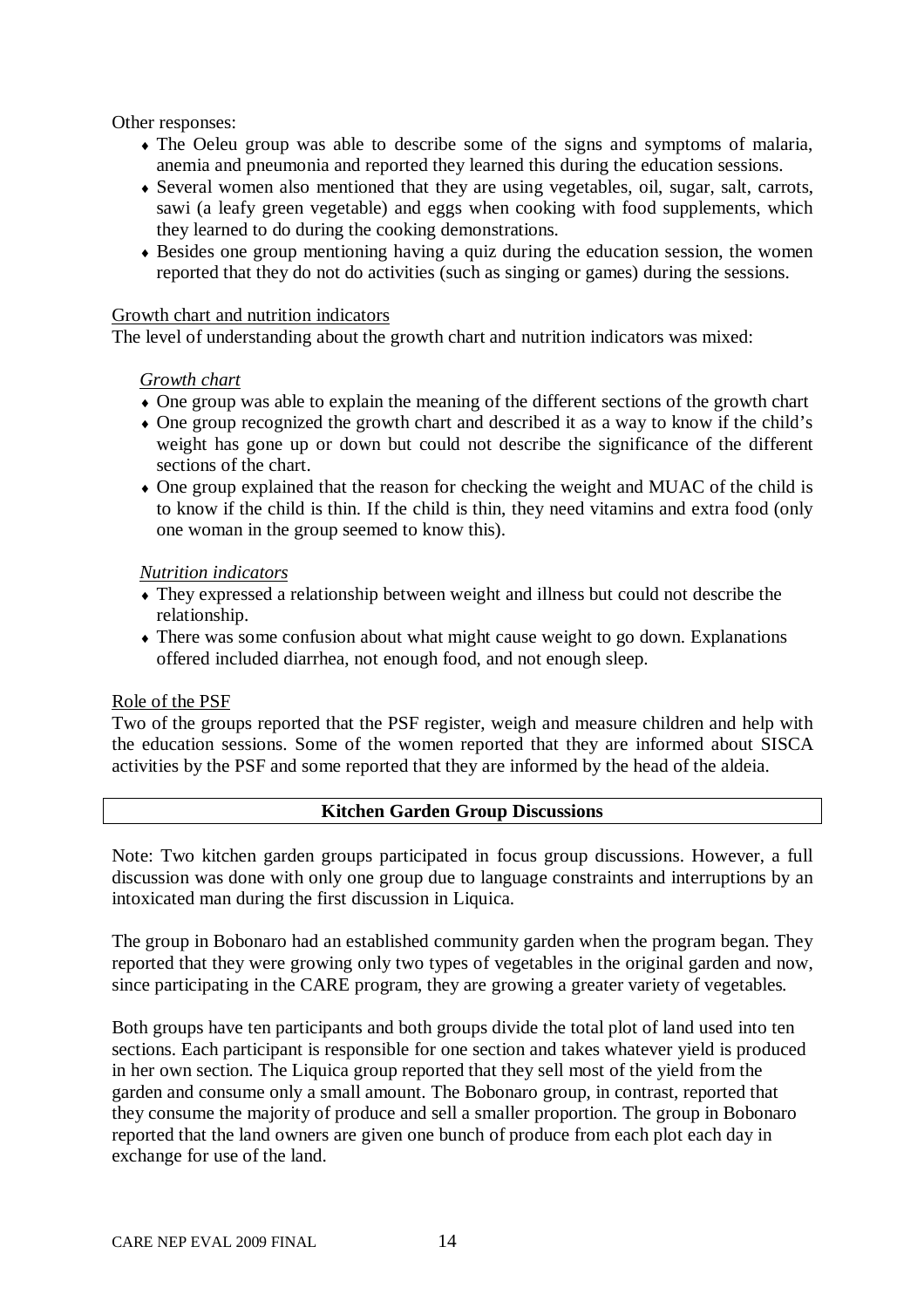Other responses:

- The Oeleu group was able to describe some of the signs and symptoms of malaria, anemia and pneumonia and reported they learned this during the education sessions.
- Several women also mentioned that they are using vegetables, oil, sugar, salt, carrots, sawi (a leafy green vegetable) and eggs when cooking with food supplements, which they learned to do during the cooking demonstrations.
- Besides one group mentioning having a quiz during the education session, the women reported that they do not do activities (such as singing or games) during the sessions.

#### Growth chart and nutrition indicators

The level of understanding about the growth chart and nutrition indicators was mixed:

#### *Growth chart*

- One group was able to explain the meaning of the different sections of the growth chart
- One group recognized the growth chart and described it as a way to know if the child's weight has gone up or down but could not describe the significance of the different sections of the chart.
- One group explained that the reason for checking the weight and MUAC of the child is to know if the child is thin. If the child is thin, they need vitamins and extra food (only one woman in the group seemed to know this).

#### *Nutrition indicators*

- They expressed a relationship between weight and illness but could not describe the relationship.
- There was some confusion about what might cause weight to go down. Explanations offered included diarrhea, not enough food, and not enough sleep.

## Role of the PSF

Two of the groups reported that the PSF register, weigh and measure children and help with the education sessions. Some of the women reported that they are informed about SISCA activities by the PSF and some reported that they are informed by the head of the aldeia.

## **Kitchen Garden Group Discussions**

Note: Two kitchen garden groups participated in focus group discussions. However, a full discussion was done with only one group due to language constraints and interruptions by an intoxicated man during the first discussion in Liquica.

The group in Bobonaro had an established community garden when the program began. They reported that they were growing only two types of vegetables in the original garden and now, since participating in the CARE program, they are growing a greater variety of vegetables.

Both groups have ten participants and both groups divide the total plot of land used into ten sections. Each participant is responsible for one section and takes whatever yield is produced in her own section. The Liquica group reported that they sell most of the yield from the garden and consume only a small amount. The Bobonaro group, in contrast, reported that they consume the majority of produce and sell a smaller proportion. The group in Bobonaro reported that the land owners are given one bunch of produce from each plot each day in exchange for use of the land.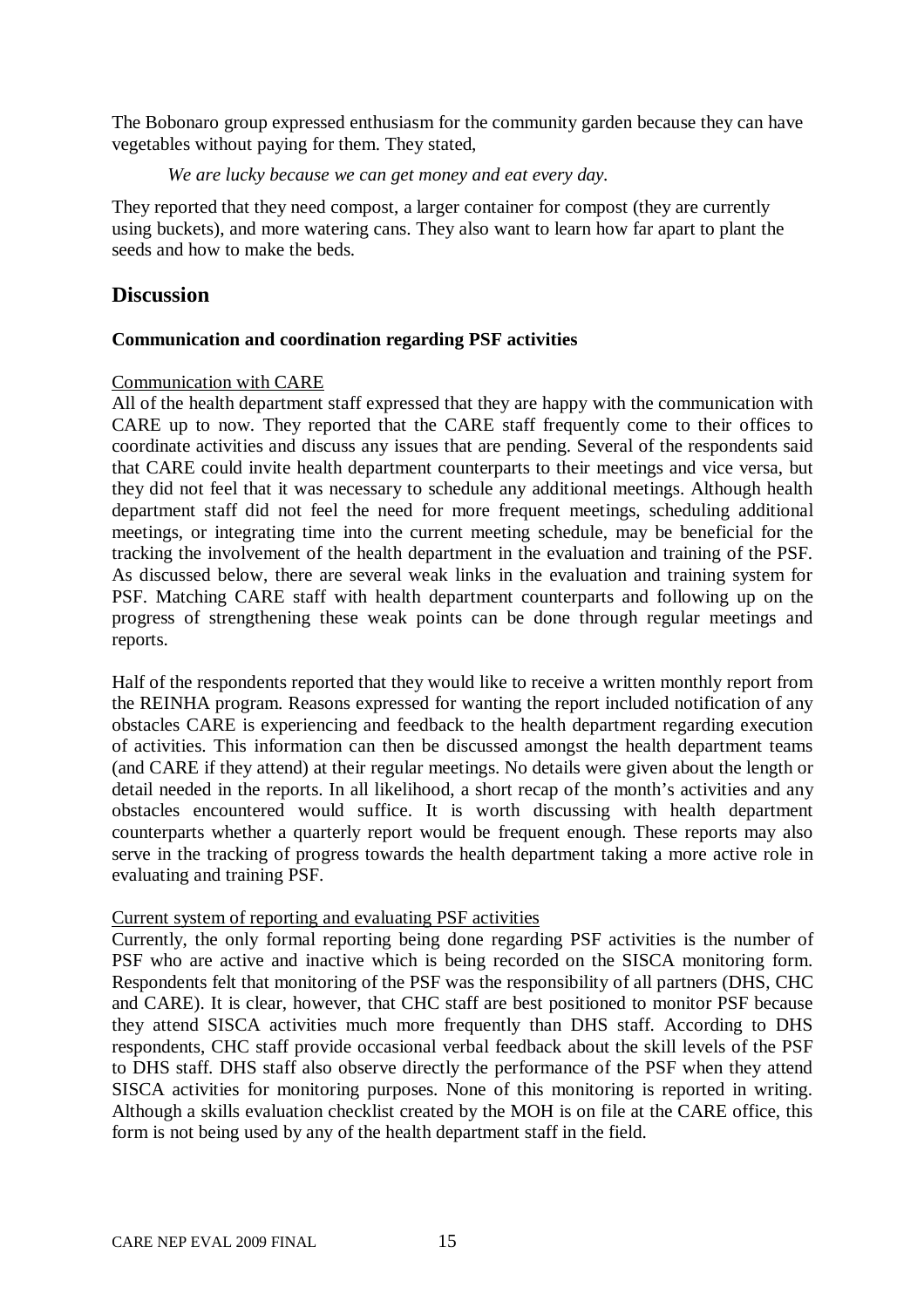The Bobonaro group expressed enthusiasm for the community garden because they can have vegetables without paying for them. They stated,

*We are lucky because we can get money and eat every day.*

They reported that they need compost, a larger container for compost (they are currently using buckets), and more watering cans. They also want to learn how far apart to plant the seeds and how to make the beds.

## **Discussion**

#### **Communication and coordination regarding PSF activities**

#### Communication with CARE

All of the health department staff expressed that they are happy with the communication with CARE up to now. They reported that the CARE staff frequently come to their offices to coordinate activities and discuss any issues that are pending. Several of the respondents said that CARE could invite health department counterparts to their meetings and vice versa, but they did not feel that it was necessary to schedule any additional meetings. Although health department staff did not feel the need for more frequent meetings, scheduling additional meetings, or integrating time into the current meeting schedule, may be beneficial for the tracking the involvement of the health department in the evaluation and training of the PSF. As discussed below, there are several weak links in the evaluation and training system for PSF. Matching CARE staff with health department counterparts and following up on the progress of strengthening these weak points can be done through regular meetings and reports.

Half of the respondents reported that they would like to receive a written monthly report from the REINHA program. Reasons expressed for wanting the report included notification of any obstacles CARE is experiencing and feedback to the health department regarding execution of activities. This information can then be discussed amongst the health department teams (and CARE if they attend) at their regular meetings. No details were given about the length or detail needed in the reports. In all likelihood, a short recap of the month's activities and any obstacles encountered would suffice. It is worth discussing with health department counterparts whether a quarterly report would be frequent enough. These reports may also serve in the tracking of progress towards the health department taking a more active role in evaluating and training PSF.

#### Current system of reporting and evaluating PSF activities

Currently, the only formal reporting being done regarding PSF activities is the number of PSF who are active and inactive which is being recorded on the SISCA monitoring form. Respondents felt that monitoring of the PSF was the responsibility of all partners (DHS, CHC and CARE). It is clear, however, that CHC staff are best positioned to monitor PSF because they attend SISCA activities much more frequently than DHS staff. According to DHS respondents, CHC staff provide occasional verbal feedback about the skill levels of the PSF to DHS staff. DHS staff also observe directly the performance of the PSF when they attend SISCA activities for monitoring purposes. None of this monitoring is reported in writing. Although a skills evaluation checklist created by the MOH is on file at the CARE office, this form is not being used by any of the health department staff in the field.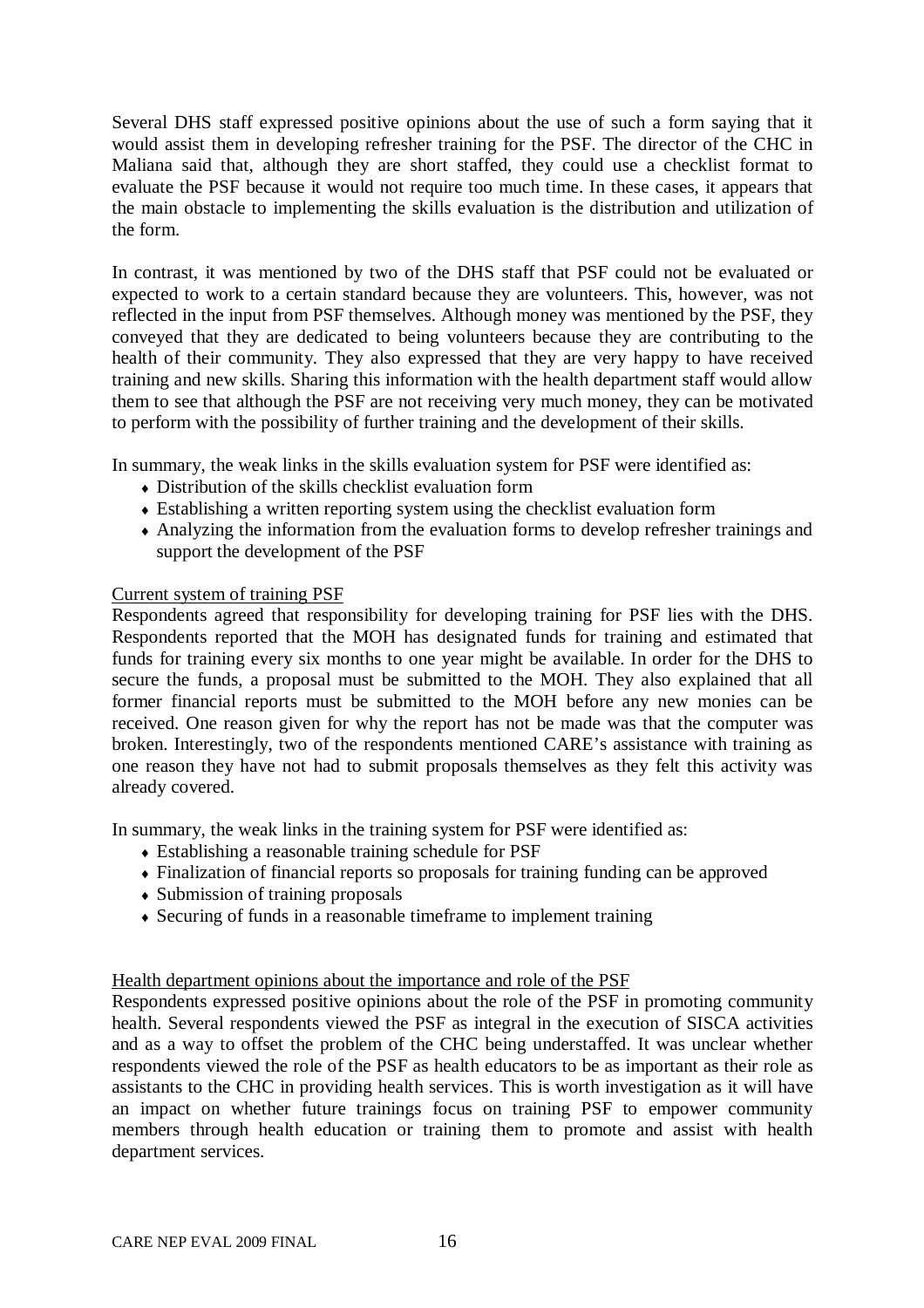Several DHS staff expressed positive opinions about the use of such a form saying that it would assist them in developing refresher training for the PSF. The director of the CHC in Maliana said that, although they are short staffed, they could use a checklist format to evaluate the PSF because it would not require too much time. In these cases, it appears that the main obstacle to implementing the skills evaluation is the distribution and utilization of the form.

In contrast, it was mentioned by two of the DHS staff that PSF could not be evaluated or expected to work to a certain standard because they are volunteers. This, however, was not reflected in the input from PSF themselves. Although money was mentioned by the PSF, they conveyed that they are dedicated to being volunteers because they are contributing to the health of their community. They also expressed that they are very happy to have received training and new skills. Sharing this information with the health department staff would allow them to see that although the PSF are not receiving very much money, they can be motivated to perform with the possibility of further training and the development of their skills.

In summary, the weak links in the skills evaluation system for PSF were identified as:

- Distribution of the skills checklist evaluation form
- Establishing a written reporting system using the checklist evaluation form
- Analyzing the information from the evaluation forms to develop refresher trainings and support the development of the PSF

#### Current system of training PSF

Respondents agreed that responsibility for developing training for PSF lies with the DHS. Respondents reported that the MOH has designated funds for training and estimated that funds for training every six months to one year might be available. In order for the DHS to secure the funds, a proposal must be submitted to the MOH. They also explained that all former financial reports must be submitted to the MOH before any new monies can be received. One reason given for why the report has not be made was that the computer was broken. Interestingly, two of the respondents mentioned CARE's assistance with training as one reason they have not had to submit proposals themselves as they felt this activity was already covered.

In summary, the weak links in the training system for PSF were identified as:

- Establishing a reasonable training schedule for PSF
- Finalization of financial reports so proposals for training funding can be approved
- Submission of training proposals
- Securing of funds in a reasonable timeframe to implement training

#### Health department opinions about the importance and role of the PSF

Respondents expressed positive opinions about the role of the PSF in promoting community health. Several respondents viewed the PSF as integral in the execution of SISCA activities and as a way to offset the problem of the CHC being understaffed. It was unclear whether respondents viewed the role of the PSF as health educators to be as important as their role as assistants to the CHC in providing health services. This is worth investigation as it will have an impact on whether future trainings focus on training PSF to empower community members through health education or training them to promote and assist with health department services.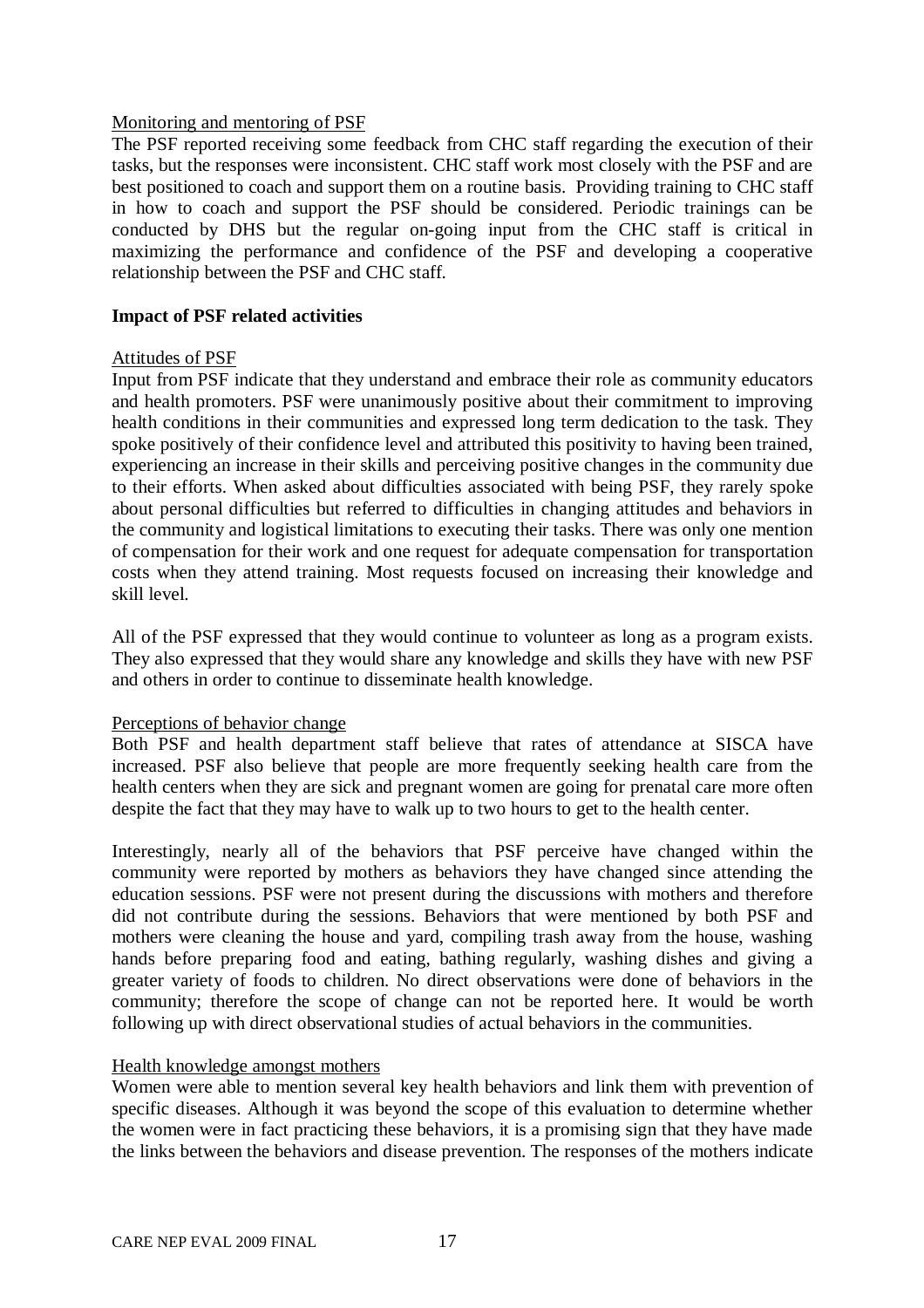#### Monitoring and mentoring of PSF

The PSF reported receiving some feedback from CHC staff regarding the execution of their tasks, but the responses were inconsistent. CHC staff work most closely with the PSF and are best positioned to coach and support them on a routine basis. Providing training to CHC staff in how to coach and support the PSF should be considered. Periodic trainings can be conducted by DHS but the regular on-going input from the CHC staff is critical in maximizing the performance and confidence of the PSF and developing a cooperative relationship between the PSF and CHC staff.

#### **Impact of PSF related activities**

#### Attitudes of PSF

Input from PSF indicate that they understand and embrace their role as community educators and health promoters. PSF were unanimously positive about their commitment to improving health conditions in their communities and expressed long term dedication to the task. They spoke positively of their confidence level and attributed this positivity to having been trained, experiencing an increase in their skills and perceiving positive changes in the community due to their efforts. When asked about difficulties associated with being PSF, they rarely spoke about personal difficulties but referred to difficulties in changing attitudes and behaviors in the community and logistical limitations to executing their tasks. There was only one mention of compensation for their work and one request for adequate compensation for transportation costs when they attend training. Most requests focused on increasing their knowledge and skill level.

All of the PSF expressed that they would continue to volunteer as long as a program exists. They also expressed that they would share any knowledge and skills they have with new PSF and others in order to continue to disseminate health knowledge.

#### Perceptions of behavior change

Both PSF and health department staff believe that rates of attendance at SISCA have increased. PSF also believe that people are more frequently seeking health care from the health centers when they are sick and pregnant women are going for prenatal care more often despite the fact that they may have to walk up to two hours to get to the health center.

Interestingly, nearly all of the behaviors that PSF perceive have changed within the community were reported by mothers as behaviors they have changed since attending the education sessions. PSF were not present during the discussions with mothers and therefore did not contribute during the sessions. Behaviors that were mentioned by both PSF and mothers were cleaning the house and yard, compiling trash away from the house, washing hands before preparing food and eating, bathing regularly, washing dishes and giving a greater variety of foods to children. No direct observations were done of behaviors in the community; therefore the scope of change can not be reported here. It would be worth following up with direct observational studies of actual behaviors in the communities.

#### Health knowledge amongst mothers

Women were able to mention several key health behaviors and link them with prevention of specific diseases. Although it was beyond the scope of this evaluation to determine whether the women were in fact practicing these behaviors, it is a promising sign that they have made the links between the behaviors and disease prevention. The responses of the mothers indicate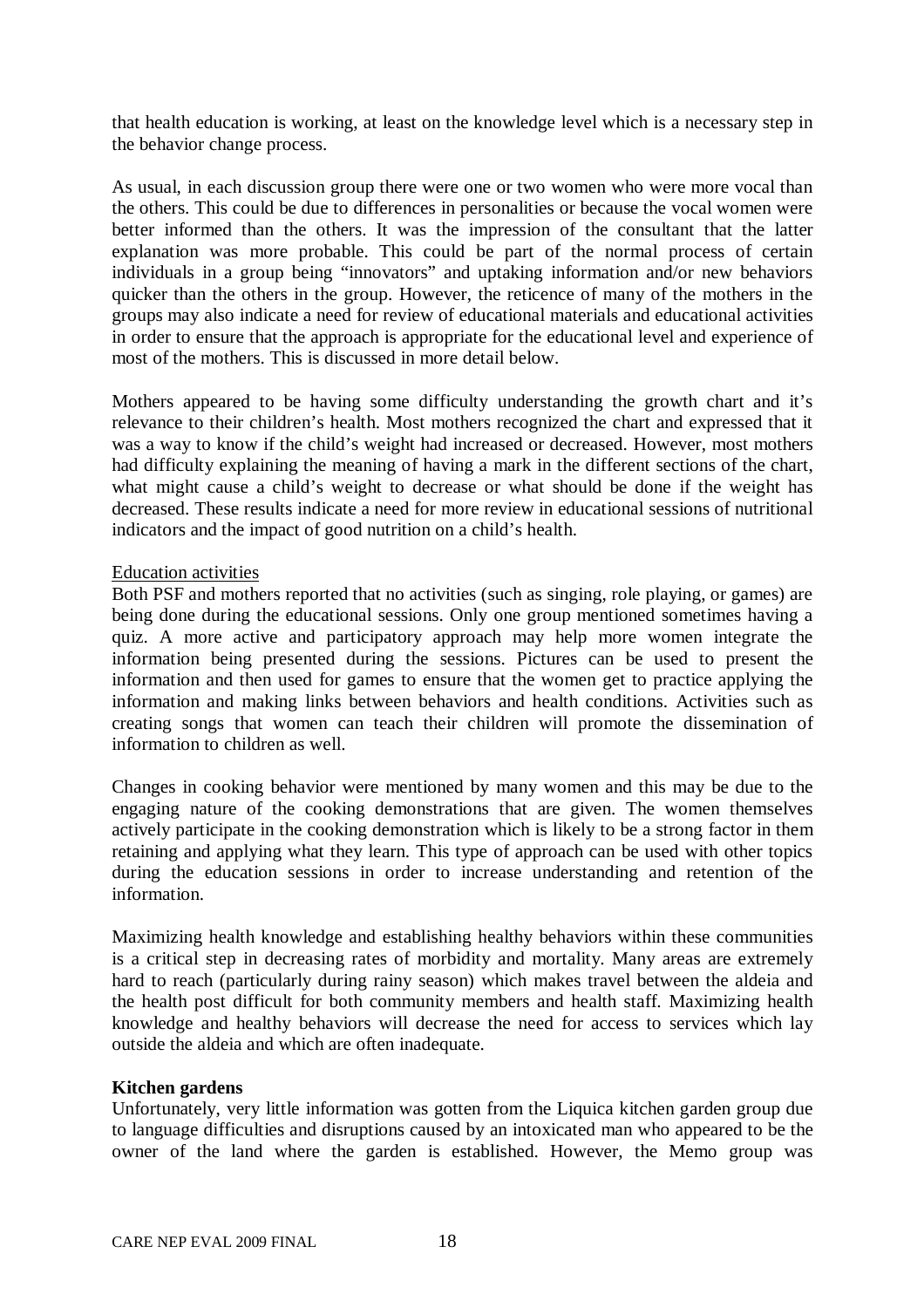that health education is working, at least on the knowledge level which is a necessary step in the behavior change process.

As usual, in each discussion group there were one or two women who were more vocal than the others. This could be due to differences in personalities or because the vocal women were better informed than the others. It was the impression of the consultant that the latter explanation was more probable. This could be part of the normal process of certain individuals in a group being "innovators" and uptaking information and/or new behaviors quicker than the others in the group. However, the reticence of many of the mothers in the groups may also indicate a need for review of educational materials and educational activities in order to ensure that the approach is appropriate for the educational level and experience of most of the mothers. This is discussed in more detail below.

Mothers appeared to be having some difficulty understanding the growth chart and it's relevance to their children's health. Most mothers recognized the chart and expressed that it was a way to know if the child's weight had increased or decreased. However, most mothers had difficulty explaining the meaning of having a mark in the different sections of the chart, what might cause a child's weight to decrease or what should be done if the weight has decreased. These results indicate a need for more review in educational sessions of nutritional indicators and the impact of good nutrition on a child's health.

#### Education activities

Both PSF and mothers reported that no activities (such as singing, role playing, or games) are being done during the educational sessions. Only one group mentioned sometimes having a quiz. A more active and participatory approach may help more women integrate the information being presented during the sessions. Pictures can be used to present the information and then used for games to ensure that the women get to practice applying the information and making links between behaviors and health conditions. Activities such as creating songs that women can teach their children will promote the dissemination of information to children as well.

Changes in cooking behavior were mentioned by many women and this may be due to the engaging nature of the cooking demonstrations that are given. The women themselves actively participate in the cooking demonstration which is likely to be a strong factor in them retaining and applying what they learn. This type of approach can be used with other topics during the education sessions in order to increase understanding and retention of the information.

Maximizing health knowledge and establishing healthy behaviors within these communities is a critical step in decreasing rates of morbidity and mortality. Many areas are extremely hard to reach (particularly during rainy season) which makes travel between the aldeia and the health post difficult for both community members and health staff. Maximizing health knowledge and healthy behaviors will decrease the need for access to services which lay outside the aldeia and which are often inadequate.

#### **Kitchen gardens**

Unfortunately, very little information was gotten from the Liquica kitchen garden group due to language difficulties and disruptions caused by an intoxicated man who appeared to be the owner of the land where the garden is established. However, the Memo group was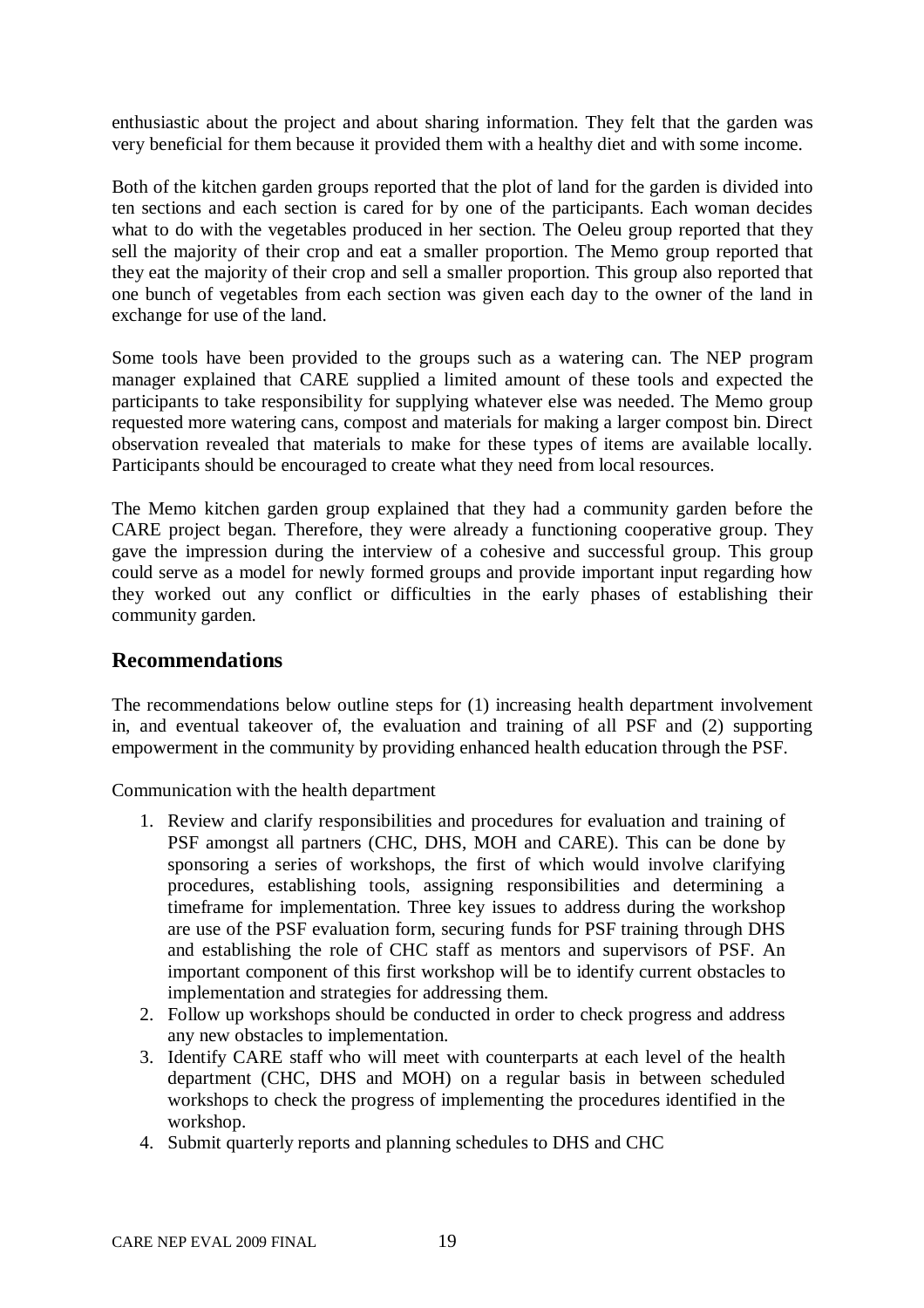enthusiastic about the project and about sharing information. They felt that the garden was very beneficial for them because it provided them with a healthy diet and with some income.

Both of the kitchen garden groups reported that the plot of land for the garden is divided into ten sections and each section is cared for by one of the participants. Each woman decides what to do with the vegetables produced in her section. The Oeleu group reported that they sell the majority of their crop and eat a smaller proportion. The Memo group reported that they eat the majority of their crop and sell a smaller proportion. This group also reported that one bunch of vegetables from each section was given each day to the owner of the land in exchange for use of the land.

Some tools have been provided to the groups such as a watering can. The NEP program manager explained that CARE supplied a limited amount of these tools and expected the participants to take responsibility for supplying whatever else was needed. The Memo group requested more watering cans, compost and materials for making a larger compost bin. Direct observation revealed that materials to make for these types of items are available locally. Participants should be encouraged to create what they need from local resources.

The Memo kitchen garden group explained that they had a community garden before the CARE project began. Therefore, they were already a functioning cooperative group. They gave the impression during the interview of a cohesive and successful group. This group could serve as a model for newly formed groups and provide important input regarding how they worked out any conflict or difficulties in the early phases of establishing their community garden.

# **Recommendations**

The recommendations below outline steps for (1) increasing health department involvement in, and eventual takeover of, the evaluation and training of all PSF and (2) supporting empowerment in the community by providing enhanced health education through the PSF.

Communication with the health department

- 1. Review and clarify responsibilities and procedures for evaluation and training of PSF amongst all partners (CHC, DHS, MOH and CARE). This can be done by sponsoring a series of workshops, the first of which would involve clarifying procedures, establishing tools, assigning responsibilities and determining a timeframe for implementation. Three key issues to address during the workshop are use of the PSF evaluation form, securing funds for PSF training through DHS and establishing the role of CHC staff as mentors and supervisors of PSF. An important component of this first workshop will be to identify current obstacles to implementation and strategies for addressing them.
- 2. Follow up workshops should be conducted in order to check progress and address any new obstacles to implementation.
- 3. Identify CARE staff who will meet with counterparts at each level of the health department (CHC, DHS and MOH) on a regular basis in between scheduled workshops to check the progress of implementing the procedures identified in the workshop.
- 4. Submit quarterly reports and planning schedules to DHS and CHC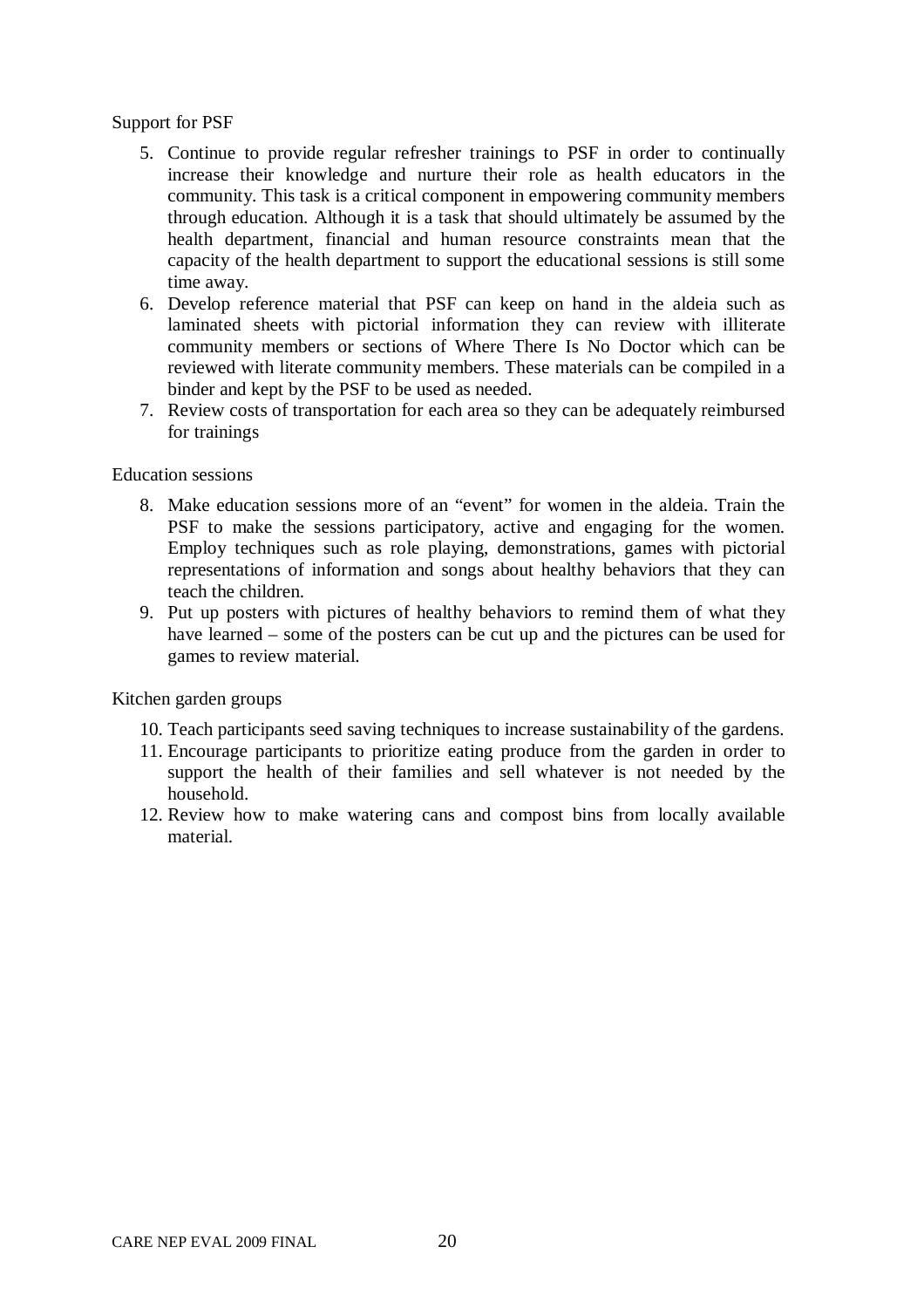#### Support for PSF

- 5. Continue to provide regular refresher trainings to PSF in order to continually increase their knowledge and nurture their role as health educators in the community. This task is a critical component in empowering community members through education. Although it is a task that should ultimately be assumed by the health department, financial and human resource constraints mean that the capacity of the health department to support the educational sessions is still some time away.
- 6. Develop reference material that PSF can keep on hand in the aldeia such as laminated sheets with pictorial information they can review with illiterate community members or sections of Where There Is No Doctor which can be reviewed with literate community members. These materials can be compiled in a binder and kept by the PSF to be used as needed.
- 7. Review costs of transportation for each area so they can be adequately reimbursed for trainings

#### Education sessions

- 8. Make education sessions more of an "event" for women in the aldeia. Train the PSF to make the sessions participatory, active and engaging for the women. Employ techniques such as role playing, demonstrations, games with pictorial representations of information and songs about healthy behaviors that they can teach the children.
- 9. Put up posters with pictures of healthy behaviors to remind them of what they have learned – some of the posters can be cut up and the pictures can be used for games to review material.

#### Kitchen garden groups

- 10. Teach participants seed saving techniques to increase sustainability of the gardens.
- 11. Encourage participants to prioritize eating produce from the garden in order to support the health of their families and sell whatever is not needed by the household.
- 12. Review how to make watering cans and compost bins from locally available material.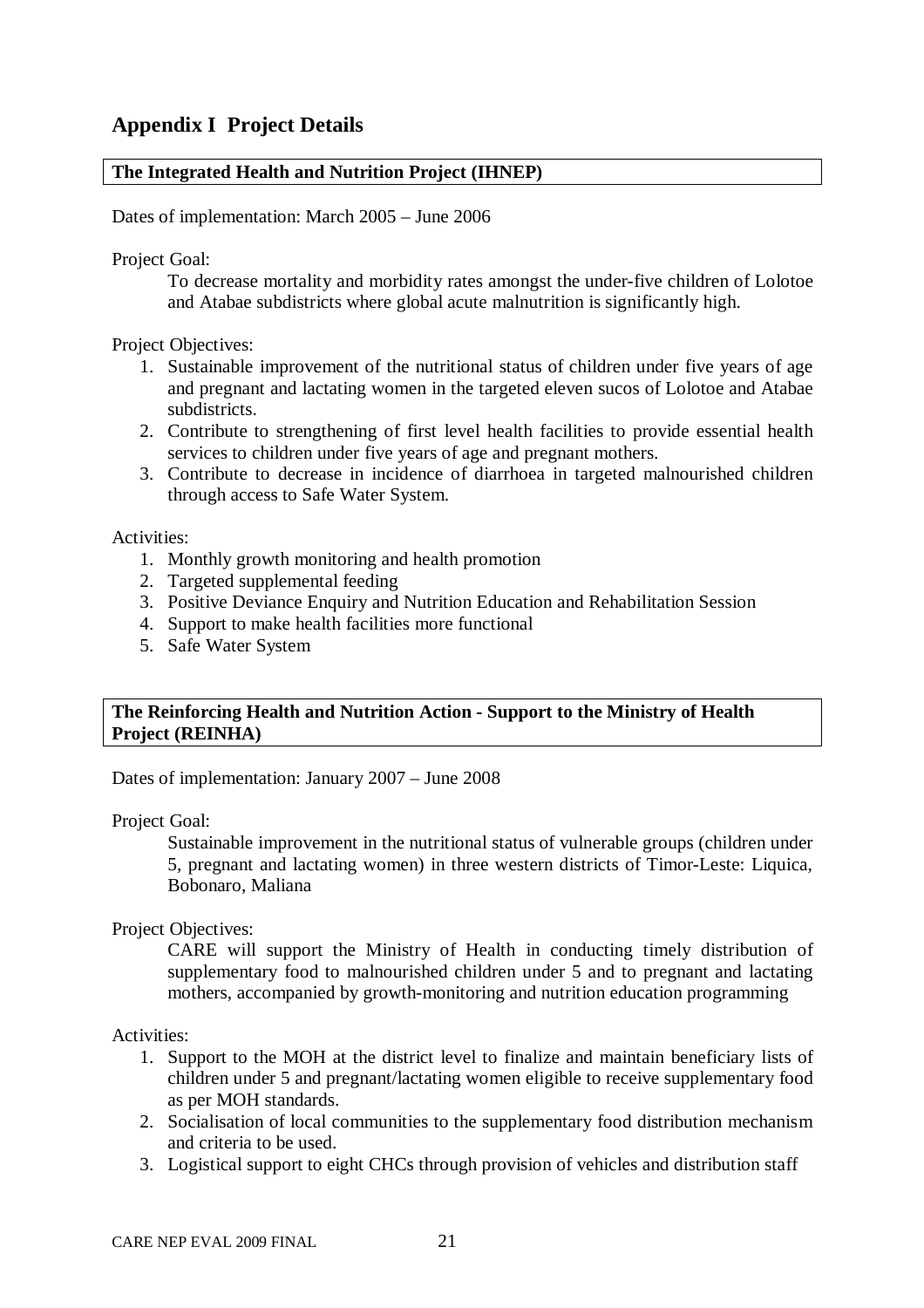## **The Integrated Health and Nutrition Project (IHNEP)**

Dates of implementation: March 2005 – June 2006

Project Goal:

To decrease mortality and morbidity rates amongst the under-five children of Lolotoe and Atabae subdistricts where global acute malnutrition is significantly high.

Project Objectives:

- 1. Sustainable improvement of the nutritional status of children under five years of age and pregnant and lactating women in the targeted eleven sucos of Lolotoe and Atabae subdistricts.
- 2. Contribute to strengthening of first level health facilities to provide essential health services to children under five years of age and pregnant mothers.
- 3. Contribute to decrease in incidence of diarrhoea in targeted malnourished children through access to Safe Water System.

Activities:

- 1. Monthly growth monitoring and health promotion
- 2. Targeted supplemental feeding
- 3. Positive Deviance Enquiry and Nutrition Education and Rehabilitation Session
- 4. Support to make health facilities more functional
- 5. Safe Water System

#### **The Reinforcing Health and Nutrition Action - Support to the Ministry of Health Project (REINHA)**

Dates of implementation: January 2007 – June 2008

Project Goal:

Sustainable improvement in the nutritional status of vulnerable groups (children under 5, pregnant and lactating women) in three western districts of Timor-Leste: Liquica, Bobonaro, Maliana

Project Objectives:

CARE will support the Ministry of Health in conducting timely distribution of supplementary food to malnourished children under 5 and to pregnant and lactating mothers, accompanied by growth-monitoring and nutrition education programming

Activities:

- 1. Support to the MOH at the district level to finalize and maintain beneficiary lists of children under 5 and pregnant/lactating women eligible to receive supplementary food as per MOH standards.
- 2. Socialisation of local communities to the supplementary food distribution mechanism and criteria to be used.
- 3. Logistical support to eight CHCs through provision of vehicles and distribution staff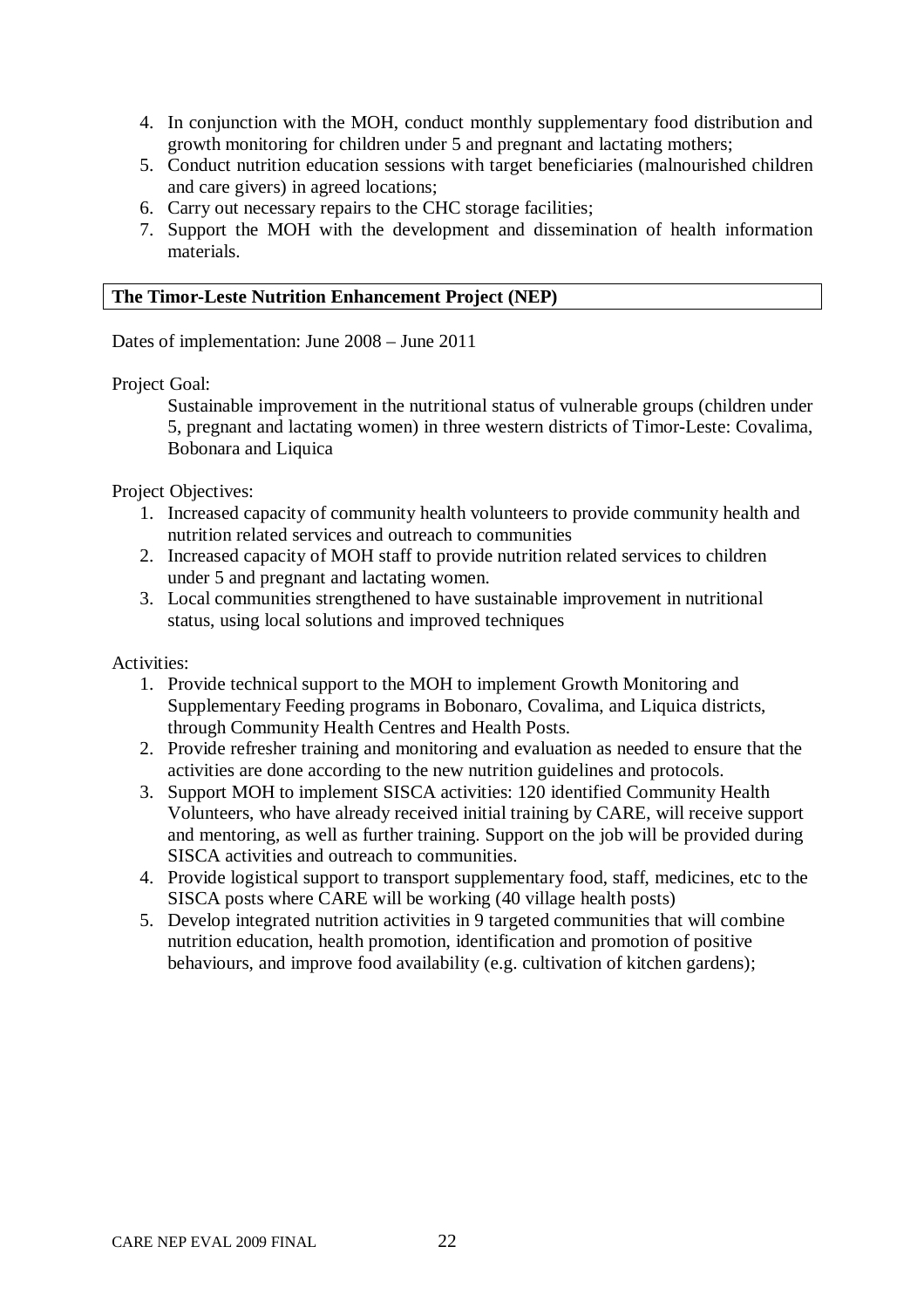- 4. In conjunction with the MOH, conduct monthly supplementary food distribution and growth monitoring for children under 5 and pregnant and lactating mothers;
- 5. Conduct nutrition education sessions with target beneficiaries (malnourished children and care givers) in agreed locations;
- 6. Carry out necessary repairs to the CHC storage facilities;
- 7. Support the MOH with the development and dissemination of health information materials.

#### **The Timor-Leste Nutrition Enhancement Project (NEP)**

Dates of implementation: June 2008 – June 2011

Project Goal:

Sustainable improvement in the nutritional status of vulnerable groups (children under 5, pregnant and lactating women) in three western districts of Timor-Leste: Covalima, Bobonara and Liquica

Project Objectives:

- 1. Increased capacity of community health volunteers to provide community health and nutrition related services and outreach to communities
- 2. Increased capacity of MOH staff to provide nutrition related services to children under 5 and pregnant and lactating women.
- 3. Local communities strengthened to have sustainable improvement in nutritional status, using local solutions and improved techniques

Activities:

- 1. Provide technical support to the MOH to implement Growth Monitoring and Supplementary Feeding programs in Bobonaro, Covalima, and Liquica districts, through Community Health Centres and Health Posts.
- 2. Provide refresher training and monitoring and evaluation as needed to ensure that the activities are done according to the new nutrition guidelines and protocols.
- 3. Support MOH to implement SISCA activities: 120 identified Community Health Volunteers, who have already received initial training by CARE, will receive support and mentoring, as well as further training. Support on the job will be provided during SISCA activities and outreach to communities.
- 4. Provide logistical support to transport supplementary food, staff, medicines, etc to the SISCA posts where CARE will be working (40 village health posts)
- 5. Develop integrated nutrition activities in 9 targeted communities that will combine nutrition education, health promotion, identification and promotion of positive behaviours, and improve food availability (e.g. cultivation of kitchen gardens);